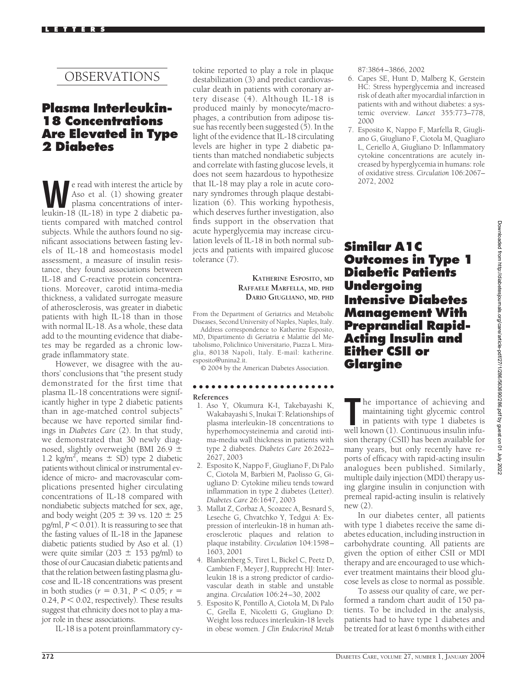# OBSERVATIONS

## **Plasma Interleukin-18 Concentrations Are Elevated in Type 2 Diabetes**

**We read with interest the article by<br>Aso et al.** (1) showing greater<br>plasma concentrations of inter-<br>leukin-18 (II-18) in type 2 diabetic pa-Aso et al. (1) showing greater leukin-18 (IL-18) in type 2 diabetic patients compared with matched control subjects. While the authors found no significant associations between fasting levels of IL-18 and homeostasis model assessment, a measure of insulin resistance, they found associations between IL-18 and C-reactive protein concentrations. Moreover, carotid intima-media thickness, a validated surrogate measure of atherosclerosis, was greater in diabetic patients with high IL-18 than in those with normal IL-18. As a whole, these data add to the mounting evidence that diabetes may be regarded as a chronic lowgrade inflammatory state.

However, we disagree with the authors' conclusions that "the present study demonstrated for the first time that plasma IL-18 concentrations were significantly higher in type 2 diabetic patients than in age-matched control subjects" because we have reported similar findings in *Diabetes Care* (2). In that study, we demonstrated that 30 newly diagnosed, slightly overweight (BMI 26.9  $\pm$ 1.2 kg/m<sup>2</sup>, means  $\pm$  SD) type 2 diabetic patients without clinical or instrumental evidence of micro- and macrovascular complications presented higher circulating concentrations of IL-18 compared with nondiabetic subjects matched for sex, age, and body weight (205  $\pm$  39 vs. 120  $\pm$  25  $pg/ml$ ,  $P < 0.01$ ). It is reassuring to see that the fasting values of IL-18 in the Japanese diabetic patients studied by Aso et al. (1) were quite similar (203  $\pm$  153 pg/ml) to those of our Caucasian diabetic patients and that the relation between fasting plasma glucose and IL-18 concentrations was present in both studies ( $r = 0.31, P < 0.05; r =$  $0.24$ ,  $P < 0.02$ , respectively). These results suggest that ethnicity does not to play a major role in these associations.

IL-18 is a potent proinflammatory cy-

tokine reported to play a role in plaque destabilization (3) and predict cardiovascular death in patients with coronary artery disease  $(4)$ . Although IL-18 is produced mainly by monocyte/macrophages, a contribution from adipose tissue has recently been suggested  $(5)$ . In the light of the evidence that IL-18 circulating levels are higher in type 2 diabetic patients than matched nondiabetic subjects and correlate with fasting glucose levels, it does not seem hazardous to hypothesize that IL-18 may play a role in acute coronary syndromes through plaque destabilization (6). This working hypothesis, which deserves further investigation, also finds support in the observation that acute hyperglycemia may increase circulation levels of IL-18 in both normal subjects and patients with impaired glucose tolerance (7).

### **KATHERINE ESPOSITO, MD RAFFAELE MARFELLA, MD, PHD DARIO GIUGLIANO, MD, PHD**

From the Department of Geriatrics and Metabolic Diseases, Second University of Naples, Naples, Italy.

Address correspondence to Katherine Esposito, MD, Dipartimento di Geriatria e Malattie del Metabolismo, Policlinico Universitario, Piazza L. Miraglia, 80138 Napoli, Italy. E-mail: katherine. esposito@unina2.it.

© 2004 by the American Diabetes Association.

## ●●●●●●●●●●●●●●●●●●●●●●●

- **References**
- 1. Aso Y, Okumura K-I, Takebayashi K, Wakabayashi S, Inukai T: Relationships of plasma interleukin-18 concentrations to hyperhomocysteinemia and carotid intima-media wall thickness in patients with type 2 diabetes. *Diabetes Care* 26:2622– 2627, 2003
- 2. Esposito K, Nappo F, Giugliano F, Di Palo C, Ciotola M, Barbieri M, Paolisso G, Giugliano D: Cytokine milieu tends toward inflammation in type 2 diabetes (Letter). *Diabetes Care* 26:1647, 2003
- 3. Mallat Z, Corbaz A, Scoazec A, Besnard S, Leseche G, Chvatchko Y, Tedgui A: Expression of interleukin-18 in human atherosclerotic plaques and relation to plaque instability. *Circulation* 104:1598– 1603, 2001
- 4. Blankenberg S, Tiret L, Bickel C, Peetz D, Cambien F, Meyer J, Rupprecht HJ: Interleukin 18 is a strong predictor of cardiovascular death in stable and unstable angina. *Circulation* 106:24–30, 2002
- 5. Esposito K, Pontillo A, Ciotola M, Di Palo C, Grella E, Nicoletti G, Giugliano D: Weight loss reduces interleukin-18 levels in obese women. *J Clin Endocrinol Metab*

87:3864–3866, 2002

- 6. Capes SE, Hunt D, Malberg K, Gerstein HC: Stress hyperglycemia and increased risk of death after myocardial infarction in patients with and without diabetes: a systemic overview. *Lancet* 355:773–778, 2000
- 7. Esposito K, Nappo F, Marfella R, Giugliano G, Giugliano F, Ciotola M, Quagliaro L, Ceriello A, Giugliano D: Inflammatory cytokine concentrations are acutely increased by hyperglycemia in humans: role of oxidative stress. *Circulation* 106:2067– 2072, 2002

## **Similar A1C Outcomes in Type 1 Diabetic Patients Undergoing Intensive Diabetes Management With Preprandial Rapid-Acting Insulin and Either CSII or Glargine**

Downloaded from http://diabetesjournals.org/care/article-pdf/27/1/286/563690/286.pdf by guest on 01 July 2022 Downloaded from http://diabetesjournals.org/care/article-pdf/27/1/286/563690/286.pdf by guest on 01 July 2022

**The importance of achieving and maintaining tight glycemic control in patients with type 1 diabetes is well known (1). Continuous insulin infu**he importance of achieving and maintaining tight glycemic control in patients with type 1 diabetes is sion therapy (CSII) has been available for many years, but only recently have reports of efficacy with rapid-acting insulin analogues been published. Similarly, multiple daily injection (MDI) therapy using glargine insulin in conjunction with premeal rapid-acting insulin is relatively new (2).

In our diabetes center, all patients with type 1 diabetes receive the same diabetes education, including instruction in carbohydrate counting. All patients are given the option of either CSII or MDI therapy and are encouraged to use whichever treatment maintains their blood glucose levels as close to normal as possible.

To assess our quality of care, we performed a random chart audit of 150 patients. To be included in the analysis, patients had to have type 1 diabetes and be treated for at least 6 months with either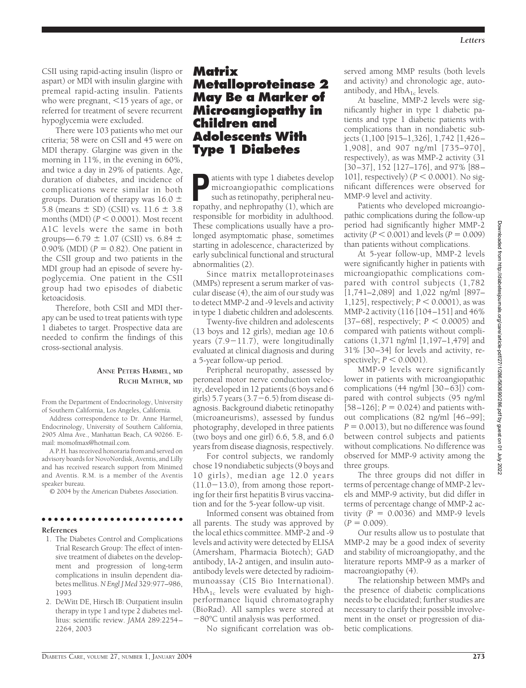CSII using rapid-acting insulin (lispro or aspart) or MDI with insulin glargine with premeal rapid-acting insulin. Patients who were pregnant,  $<$ 15 years of age, or referred for treatment of severe recurrent hypoglycemia were excluded.

There were 103 patients who met our criteria; 58 were on CSII and 45 were on MDI therapy. Glargine was given in the morning in 11%, in the evening in 60%, and twice a day in 29% of patients. Age, duration of diabetes, and incidence of complications were similar in both groups. Duration of therapy was  $16.0 \pm$ 5.8 (means  $\pm$  SD) (CSII) vs. 11.6  $\pm$  3.8 months  $(MDI)$   $(P < 0.0001)$ . Most recent A1C levels were the same in both groups—6.79  $\pm$  1.07 (CSII) vs. 6.84  $\pm$ 0.90% (MDI)  $(P = 0.82)$ . One patient in the CSII group and two patients in the MDI group had an episode of severe hypoglycemia. One patient in the CSII group had two episodes of diabetic ketoacidosis.

Therefore, both CSII and MDI therapy can be used to treat patients with type 1 diabetes to target. Prospective data are needed to confirm the findings of this cross-sectional analysis.

### **ANNE PETERS HARMEL, MD RUCHI MATHUR, MD**

From the Department of Endocrinology, University of Southern California, Los Angeles, California.

Address correspondence to Dr. Anne Harmel, Endocrinology, University of Southern California, 2905 Alma Ave., Manhattan Beach, CA 90266. Email: momofmax@hotmail.com.

A.P.H. has received honoraria from and served on advisory boards for NovoNordisk, Aventis, and Lilly and has received research support from Minimed and Aventis. R.M. is a member of the Aventis speaker bureau.

© 2004 by the American Diabetes Association.

## ●●●●●●●●●●●●●●●●●●●●●●●

### **References**

- 1. The Diabetes Control and Complications Trial Research Group: The effect of intensive treatment of diabetes on the development and progression of long-term complications in insulin dependent diabetes mellitus.*N Engl J Med* 329:977–986, 1993
- 2. DeWitt DE, Hirsch IB: Outpatient insulin therapy in type 1 and type 2 diabetes mellitus: scientific review. *JAMA* 289:2254– 2264, 2003

## **Matrix Metalloproteinase 2 May Be a Marker of Microangiopathy in Children and Adolescents With Type 1 Diabetes**

**P**atients with type 1 diabetes develop microangiopathic complications such as retinopathy, peripheral neuropathy, and nephropathy (1), which are responsible for morbidity in adulthood. These complications usually have a prolonged asymptomatic phase, sometimes starting in adolescence, characterized by early subclinical functional and structural abnormalities (2).

Since matrix metalloproteinases (MMPs) represent a serum marker of vascular disease (4), the aim of our study was to detect MMP-2 and -9 levels and activity in type 1 diabetic children and adolescents.

Twenty-five children and adolescents (13 boys and 12 girls), median age 10.6 years  $(7.9-11.7)$ , were longitudinally evaluated at clinical diagnosis and during a 5-year follow-up period.

Peripheral neuropathy, assessed by peroneal motor nerve conduction velocity, developed in 12 patients (6 boys and 6 girls) 5.7 years  $(3.7-6.5)$  from disease diagnosis. Background diabetic retinopathy (microaneurisms), assessed by fundus photography, developed in three patients (two boys and one girl) 6.6, 5.8, and 6.0 years from disease diagnosis, respectively.

For control subjects, we randomly chose 19 nondiabetic subjects (9 boys and 10 girls), median age 12.0 years  $(11.0-13.0)$ , from among those reporting for their first hepatitis B virus vaccination and for the 5-year follow-up visit.

Informed consent was obtained from all parents. The study was approved by the local ethics committee. MMP-2 and -9 levels and activity were detected by ELISA (Amersham, Pharmacia Biotech); GAD antibody, IA-2 antigen, and insulin autoantibody levels were detected by radioimmunoassay (CIS Bio International).  $HbA_{1c}$  levels were evaluated by highperformance liquid chromatography (BioRad). All samples were stored at 80°C until analysis was performed.

No significant correlation was ob-

served among MMP results (both levels and activity) and chronologic age, autoantibody, and  $HbA_{1c}$  levels.

At baseline, MMP-2 levels were significantly higher in type 1 diabetic patients and type 1 diabetic patients with complications than in nondiabetic subjects (1,100 [915–1,326], 1,742 [1,426– 1,908], and 907 ng/ml [735–970], respectively), as was MMP-2 activity (31 [30–37], 152 [127–176], and 97% [88– 101], respectively)  $(P < 0.0001)$ . No significant differences were observed for MMP-9 level and activity.

Patients who developed microangiopathic complications during the follow-up period had significantly higher MMP-2 activity ( $P < 0.001$ ) and levels ( $P = 0.009$ ) than patients without complications.

At 5-year follow-up, MMP-2 levels were significantly higher in patients with microangiopathic complications compared with control subjects (1,782 [1,741–2,089] and 1,022 ng/ml [897–  $1,125$ ], respectively;  $P < 0.0001$ ), as was MMP-2 activity (116 [104–151] and 46%  $[37–68]$ , respectively;  $P < 0.0005$ ) and compared with patients without complications (1,371 ng/ml [1,197–1,479] and 31% [30–34] for levels and activity, respectively;  $P < 0.0001$ ).

MMP-9 levels were significantly lower in patients with microangiopathic complications (44 ng/ml [30–63]) compared with control subjects (95 ng/ml  $[58–126]$ ;  $P = 0.024$ ) and patients without complications (82 ng/ml [46 –99];  $P = 0.0013$ , but no difference was found between control subjects and patients without complications*.* No difference was observed for MMP-9 activity among the three groups.

The three groups did not differ in terms of percentage change of MMP-2 levels and MMP-9 activity, but did differ in terms of percentage change of MMP-2 activity  $(P = 0.0036)$  and MMP-9 levels  $(P = 0.009)$ .

Our results allow us to postulate that MMP-2 may be a good index of severity and stability of microangiopathy, and the literature reports MMP-9 as a marker of macroangiopathy (4).

The relationship between MMPs and the presence of diabetic complications needs to be elucidated; further studies are necessary to clarify their possible involvement in the onset or progression of diabetic complications.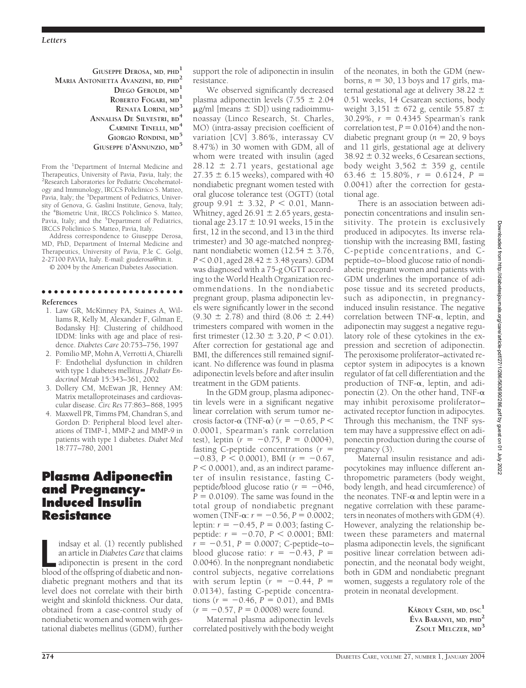### **GIUSEPPE DEROSA, MD, PHD<sup>1</sup> MARIA ANTONIETTA AVANZINI, BD, PHD2 DIEGO GEROLDI, MD<sup>1</sup> ROBERTO FOGARI, MD<sup>1</sup> RENATA LORINI, MD<sup>3</sup> ANNALISA DE SILVESTRI, BD<sup>4</sup> CARMINE TINELLI, MD<sup>4</sup> GIORGIO RONDINI, MD<sup>5</sup> GIUSEPPE D'ANNUNZIO, MD<sup>5</sup>**

From the <sup>1</sup>Department of Internal Medicine and Therapeutics, University of Pavia, Pavia, Italy; the 2 Research Laboratories for Pediatric Oncohematology and Immunology, IRCCS Policlinico S. Matteo, Pavia, Italy; the <sup>3</sup>Department of Pediatrics, University of Genova, G. Gaslini Institute, Genova, Italy; the <sup>4</sup> Biometric Unit, IRCCS Policlinico S. Matteo, Pavia, Italy; and the <sup>5</sup>Department of Pediatrics, IRCCS Policlinico S. Matteo, Pavia, Italy.

Address correspondence to Giuseppe Derosa, MD, PhD, Department of Internal Medicine and Therapeutics, University of Pavia, P.le C. Golgi, 2-27100 PAVIA, Italy. E-mail: giuderosa@tin.it.

© 2004 by the American Diabetes Association.

#### ●●●●●●●●●●●●●●●●●●●●●●● **References**

- 1. Law GR, McKinney PA, Staines A, Williams R, Kelly M, Alexander F, Gilman E, Bodansky HJ: Clustering of childhood IDDM: links with age and place of residence. *Diabetes Care* 20:753–756, 1997
- 2. Pomilio MP, Mohn A, Verrotti A, Chiarelli F: Endothelial dysfunction in children with type 1 diabetes mellitus. *J Pediatr Endocrinol Metab* 15:343–361, 2002
- 3. Dollery CM, McEwan JR, Henney AM: Matrix metalloproteinases and cardiovascular disease. *Circ Res* 77:863–868, 1995
- 4. Maxwell PR, Timms PM, Chandran S, and Gordon D: Peripheral blood level alterations of TIMP-1, MMP-2 and MMP-9 in patients with type 1 diabetes. *Diabet Med* 18:777–780, 2001

## **Plasma Adiponectin and Pregnancy-Induced Insulin Resistance**

Indsay et al. (1) recently published<br>
an article in *Diabetes Care* that claims<br>
adiponectin is present in the cord<br>
blood of the offspring of diabetic and nonindsay et al. (1) recently published an article in *Diabetes Care*that claims adiponectin is present in the cord diabetic pregnant mothers and that its level does not correlate with their birth weight and skinfold thickness. Our data, obtained from a case-control study of nondiabetic women and women with gestational diabetes mellitus (GDM), further support the role of adiponectin in insulin resistance.

We observed significantly decreased plasma adiponectin levels  $(7.55 \pm 2.04)$  $\mu$ g/ml [means  $\pm$  SD]) using radioimmunoassay (Linco Research, St. Charles, MO) (intra-assay precision coefficient of variation [CV] 3.86%, interassay CV 8.47%) in 30 women with GDM, all of whom were treated with insulin (aged  $28.12 \pm 2.71$  years, gestational age  $27.35 \pm 6.15$  weeks), compared with 40 nondiabetic pregnant women tested with oral glucose tolerance test (OGTT) (total group  $9.91 \pm 3.32$ ,  $P < 0.01$ , Mann-Whitney, aged  $26.91 \pm 2.65$  years, gestational age  $23.17 \pm 10.91$  weeks, 15 in the first, 12 in the second, and 13 in the third trimester) and 30 age-matched nonpregnant nondiabetic women (12.54  $\pm$  3.76, *P* < 0.01, aged 28.42  $\pm$  3.48 years). GDM was diagnosed with a 75-g OGTT according to the World Health Organization recommendations. In the nondiabetic pregnant group, plasma adiponectin levels were significantly lower in the second  $(9.30 \pm 2.78)$  and third  $(8.06 \pm 2.44)$ trimesters compared with women in the first trimester  $(12.30 \pm 3.20, P \le 0.01)$ . After correction for gestational age and BMI, the differences still remained significant. No difference was found in plasma adiponectin levels before and after insulin treatment in the GDM patients.

In the GDM group, plasma adiponectin levels were in a significant negative linear correlation with serum tumor necrosis factor- $\alpha$  (TNF- $\alpha$ ) ( $r = -0.65, P <$ 0.0001, Spearman's rank correlation test), leptin  $(r = -0.75, P = 0.0004)$ , fasting C-peptide concentrations (*r*  $-0.83$ ,  $P < 0.0001$ ), BMI ( $r = -0.67$ ,  $P < 0.0001$ ), and, as an indirect parameter of insulin resistance, fasting Cpeptide/blood glucose ratio  $(r = -0.46)$ ,  $P = 0.0109$ . The same was found in the total group of nondiabetic pregnant women (TNF- $\alpha$ :  $r = -0.56$ ,  $P = 0.0002$ ; leptin:  $r = -0.45$ ,  $P = 0.003$ ; fasting Cpeptide:  $r = -0.70$ ,  $P < 0.0001$ ; BMI:  $r = -0.51$ ,  $P = 0.0007$ ; C-peptide–to– blood glucose ratio:  $r = -0.43$ ,  $P =$ 0.0046). In the nonpregnant nondiabetic control subjects, negative correlations with serum leptin  $(r = -0.44, P =$ 0.0134), fasting C-peptide concentrations ( $r = -0.46$ ,  $P = 0.01$ ), and BMIs  $(r = -0.57, P = 0.0008)$  were found.

Maternal plasma adiponectin levels correlated positively with the body weight

of the neonates, in both the GDM (newborns,  $n = 30$ , 13 boys and 17 girls, maternal gestational age at delivery 38.22  $\pm$ 0.51 weeks, 14 Cesarean sections, body weight 3,151  $\pm$  672 g, centile 55.87  $\pm$ 30.29%,  $r = 0.4345$  Spearman's rank correlation test,  $P = 0.0164$ ) and the nondiabetic pregnant group ( $n = 20$ , 9 boys and 11 girls, gestational age at delivery  $38.92 \pm 0.32$  weeks, 6 Cesarean sections, body weight  $3,562 \pm 359$  g, centile 63.46  $\pm$  15.80%,  $r = 0.6124$ ,  $P =$ 0.0041) after the correction for gestational age.

There is an association between adiponectin concentrations and insulin sensitivity. The protein is exclusively produced in adipocytes. Its inverse relationship with the increasing BMI, fasting C-peptide concentrations, and Cpeptide–to–blood glucose ratio of nondiabetic pregnant women and patients with GDM underlines the importance of adipose tissue and its secreted products, such as adiponectin, in pregnancyinduced insulin resistance. The negative correlation between TNF- $\alpha$ , leptin, and adiponectin may suggest a negative regulatory role of these cytokines in the expression and secretion of adiponectin. The peroxisome proliferator–activated receptor system in adipocytes is a known regulator of fat cell differentiation and the production of TNF- $\alpha$ , leptin, and adiponectin (2). On the other hand, TNF- $\alpha$ may inhibit peroxisome proliferator– activated receptor function in adipocytes. Through this mechanism, the TNF system may have a suppressive effect on adiponectin production during the course of pregnancy (3).

Maternal insulin resistance and adipocytokines may influence different anthropometric parameters (body weight, body length, and head circumference) of the neonates. TNF- $\alpha$  and leptin were in a negative correlation with these parameters in neonates of mothers with GDM (4). However, analyzing the relationship between these parameters and maternal plasma adiponectin levels, the significant positive linear correlation between adiponectin, and the neonatal body weight, both in GDM and nondiabetic pregnant women, suggests a regulatory role of the protein in neonatal development.

> **KA´ROLY CSEH, MD, DSC<sup>1</sup> E´ VA BARANYI, MD, PHD<sup>2</sup> ZSOLT MELCZER, MD<sup>3</sup>**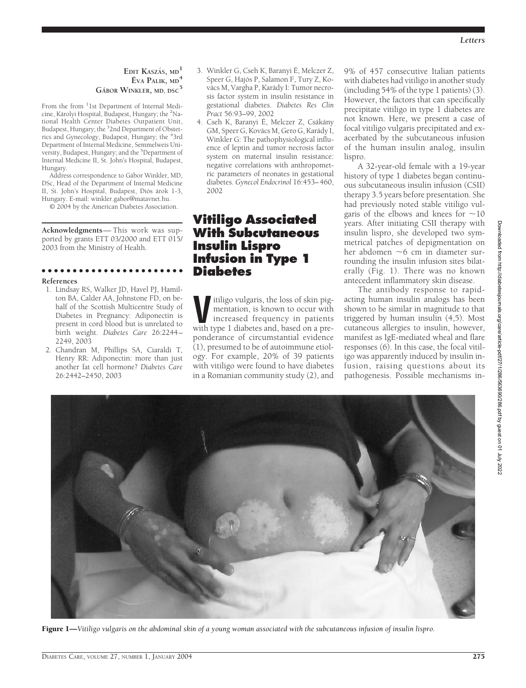### **EDIT KASZÁS**, MD<sup>1</sup> **E´ VA PALIK, MD<sup>4</sup> GA´BOR WINKLER, MD, DSC<sup>5</sup>**

From the from <sup>1</sup>1st Department of Internal Medicine, Károlyi Hospital, Budapest, Hungary; the <sup>2</sup>National Health Center Diabetes Outpatient Unit, Budapest, Hungary; the <sup>3</sup> 2nd Department of Obstetrics and Gynecology, Budapest, Hungary; the <sup>4</sup> 3rd Department of Internal Medicine, Semmelweis University, Budapest, Hungary; and the <sup>5</sup>Department of Internal Medicine II, St. John's Hospital, Budapest, Hungary.

Address correspondence to Gábor Winkler, MD, DSc, Head of the Department of Internal Medicine II, St. John's Hospital, Budapest, Diós árok 1-3, Hungary. E-mail: winkler.gabor@matavnet.hu.

© 2004 by the American Diabetes Association.

**Acknowledgments**— This work was supported by grants ETT 03/2000 and ETT 015/ 2003 from the Ministry of Health.

●●●●●●●●●●●●●●●●●●●●●●●

#### **References**

- 1. Lindsay RS, Walker JD, Havel PJ, Hamilton BA, Calder AA, Johnstone FD, on behalf of the Scottish Multicentre Study of Diabetes in Pregnancy: Adiponectin is present in cord blood but is unrelated to birth weight. *Diabetes Care* 26:2244– 2249, 2003
- 2. Chandran M, Phillips SA, Ciaraldi T, Henry RR: Adiponectin: more than just another fat cell hormone? *Diabetes Care* 26:2442–2450, 2003
- 3. Winkler G, Cseh K, Baranyi É, Melczer Z, Speer G, Hajós P, Salamon F, Tury Z, Kovács M, Vargha P, Karády I: Tumor necrosis factor system in insulin resistance in gestational diabetes. *Diabetes Res Clin Pract* 56:93–99, 2002
- 4. Cseh K, Baranyi É, Melczer Z, Csákány GM, Speer G, Kovács M, Gero G, Karády I, Winkler G: The pathophysiological influence of leptin and tumor necrosis factor system on maternal insulin resistance: negative correlations with anthropometric parameters of neonates in gestational diabetes. *Gynecol Endocrinol* 16:453–460, 2002

## **Vitiligo Associated With Subcutaneous Insulin Lispro Infusion in Type 1 Diabetes**

**V**itiligo vulgaris, the loss of skin pig-<br>
mentation, is known to occur with<br>
increased frequency in patients<br>
with type 1 diabetes and based on a prementation, is known to occur with increased frequency in patients with type 1 diabetes and, based on a preponderance of circumstantial evidence (1), presumed to be of autoimmune etiology. For example, 20% of 39 patients with vitiligo were found to have diabetes in a Romanian community study (2), and

9% of 457 consecutive Italian patients with diabetes had vitiligo in another study (including 54% of the type 1 patients) (3). However, the factors that can specifically precipitate vitiligo in type 1 diabetes are not known. Here, we present a case of focal vitiligo vulgaris precipitated and exacerbated by the subcutaneous infusion of the human insulin analog, insulin lispro.

A 32-year-old female with a 19-year history of type 1 diabetes began continuous subcutaneous insulin infusion (CSII) therapy 3.5 years before presentation. She had previously noted stable vitiligo vulgaris of the elbows and knees for  $\sim$ 10 years. After initiating CSII therapy with insulin lispro, she developed two symmetrical patches of depigmentation on her abdomen  $\sim$ 6 cm in diameter surrounding the insulin infusion sites bilaterally (Fig. 1). There was no known antecedent inflammatory skin disease.

The antibody response to rapidacting human insulin analogs has been shown to be similar in magnitude to that triggered by human insulin (4,5). Most cutaneous allergies to insulin, however, manifest as IgE-mediated wheal and flare responses (6). In this case, the focal vitiligo was apparently induced by insulin infusion, raising questions about its pathogenesis. Possible mechanisms in-



Figure 1—*Vitiligo vulgaris on the abdominal skin of a young woman associated with the subcutaneous infusion of insulin lispro.*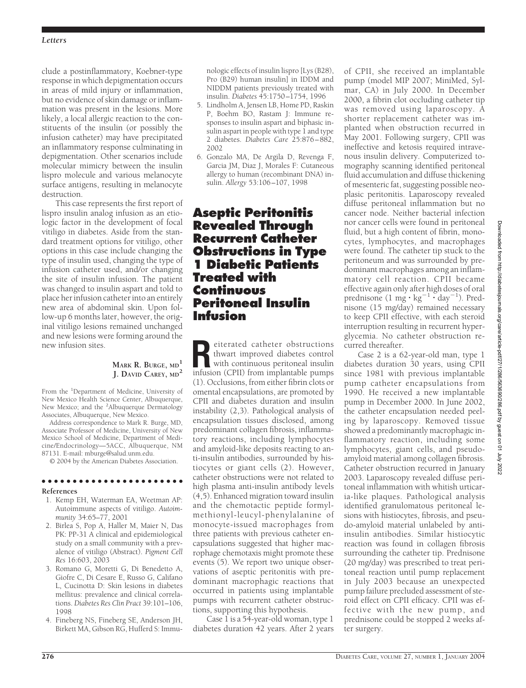clude a postinflammatory, Koebner-type response in which depigmentation occurs in areas of mild injury or inflammation, but no evidence of skin damage or inflammation was present in the lesions. More likely, a local allergic reaction to the constituents of the insulin (or possibly the infusion catheter) may have precipitated an inflammatory response culminating in depigmentation. Other scenarios include molecular mimicry between the insulin lispro molecule and various melanocyte surface antigens, resulting in melanocyte destruction.

This case represents the first report of lispro insulin analog infusion as an etiologic factor in the development of focal vitiligo in diabetes. Aside from the standard treatment options for vitiligo, other options in this case include changing the type of insulin used, changing the type of infusion catheter used, and/or changing the site of insulin infusion. The patient was changed to insulin aspart and told to place her infusion catheter into an entirely new area of abdominal skin. Upon follow-up 6 months later, however, the original vitiligo lesions remained unchanged and new lesions were forming around the new infusion sites.

### **MARK R. BURGE, MD<sup>1</sup> J. DAVID CAREY, MD<sup>2</sup>**

From the <sup>1</sup>Department of Medicine, University of New Mexico Health Science Center, Albuquerque, New Mexico; and the <sup>2</sup>Albuquerque Dermatology Associates, Albuquerque, New Mexico.

Address correspondence to Mark R. Burge, MD, Associate Professor of Medicine, University of New Mexico School of Medicine, Department of Medicine/Endocrinology—5ACC, Albuquerque, NM 87131. E-mail: mburge@salud.unm.edu.

© 2004 by the American Diabetes Association.

## ●●●●●●●●●●●●●●●●●●●●●●●

- **References** 1. Kemp EH, Waterman EA, Weetman AP:
- Autoimmune aspects of vitiligo. *Autoimmunity* 34:65–77, 2001
- 2. Birlea S, Pop A, Haller M, Maier N, Das PK: PP-31 A clinical and epidemiological study on a small community with a prevalence of vitiligo (Abstract). *Pigment Cell Res* 16:603, 2003
- 3. Romano G, Moretti G, Di Benedetto A, Giofre C, Di Cesare E, Russo G, Califano L, Cucinotta D: Skin lesions in diabetes mellitus: prevalence and clinical correlations. *Diabetes Res Clin Pract* 39:101–106, 1998
- 4. Fineberg NS, Fineberg SE, Anderson JH, Birkett MA, Gibson RG, Hufferd S: Immu-

nologic effects of insulin lispro [Lys (B28), Pro (B29) human insulin] in IDDM and NIDDM patients previously treated with insulin. *Diabetes* 45:1750–1754, 1996

- 5. Lindholm A, Jensen LB, Home PD, Raskin P, Boehm BO, Rastam J: Immune responses to insulin aspart and biphasic insulin aspart in people with type 1 and type 2 diabetes. *Diabetes Care* 25:876–882, 2002
- 6. Gonzalo MA, De Argila D, Revenga F, Garcia JM, Diaz J, Morales F: Cutaneous allergy to human (recombinant DNA) insulin. *Allergy* 53:106–107, 1998

## **Aseptic Peritonitis Revealed Through Recurrent Catheter Obstructions in Type 1 Diabetic Patients Treated with Continuous Peritoneal Insulin Infusion**

**Reference Contract Contract Contract Control with continuous peritoneal insulin infusion (CPII) from implantable pumps** thwart improved diabetes control with continuous peritoneal insulin infusion (CPII) from implantable pumps (1). Occlusions, from either fibrin clots or omental encapsulations, are promoted by CPII and diabetes duration and insulin instability (2,3). Pathological analysis of encapsulation tissues disclosed, among predominant collagen fibrosis, inflammatory reactions, including lymphocytes and amyloid-like deposits reacting to anti-insulin antibodies, surrounded by histiocytes or giant cells (2). However, catheter obstructions were not related to high plasma anti-insulin antibody levels (4,5). Enhanced migration toward insulin and the chemotactic peptide formylmethionyl-leucyl-phenylalanine of monocyte-issued macrophages from three patients with previous catheter encapsulations suggested that higher macrophage chemotaxis might promote these events (5). We report two unique observations of aseptic peritonitis with predominant macrophagic reactions that occurred in patients using implantable pumps with recurrent catheter obstructions, supporting this hypothesis.

Case 1 is a 54-year-old woman, type 1 diabetes duration 42 years. After 2 years of CPII, she received an implantable pump (model MIP 2007; MiniMed, Sylmar, CA) in July 2000. In December 2000, a fibrin clot occluding catheter tip was removed using laparoscopy. A shorter replacement catheter was implanted when obstruction recurred in May 2001. Following surgery, CPII was ineffective and ketosis required intravenous insulin delivery. Computerized tomography scanning identified peritoneal fluid accumulation and diffuse thickening of mesenteric fat, suggesting possible neoplasic peritonitis. Laparoscopy revealed diffuse peritoneal inflammation but no cancer node. Neither bacterial infection nor cancer cells were found in peritoneal fluid, but a high content of fibrin, monocytes, lymphocytes, and macrophages were found. The catheter tip stuck to the peritoneum and was surrounded by predominant macrophages among an inflammatory cell reaction. CPII became effective again only after high doses of oral prednisone  $(1 \text{ mg} \cdot \text{kg}^{-1} \cdot \text{day}^{-1})$ . Prednisone (15 mg/day) remained necessary to keep CPII effective, with each steroid interruption resulting in recurrent hyperglycemia. No catheter obstruction recurred thereafter.

Case 2 is a 62-year-old man, type 1 diabetes duration 30 years, using CPII since 1981 with previous implantable pump catheter encapsulations from 1990. He received a new implantable pump in December 2000. In June 2002, the catheter encapsulation needed peeling by laparoscopy. Removed tissue showed a predominantly macrophagic inflammatory reaction, including some lymphocytes, giant cells, and pseudoamyloid material among collagen fibrosis. Catheter obstruction recurred in January 2003. Laparoscopy revealed diffuse peritoneal inflammation with whitish urticaria-like plaques. Pathological analysis identified granulomatous peritoneal lesions with histiocytes, fibrosis, and pseudo-amyloid material unlabeled by antiinsulin antibodies. Similar histiocytic reaction was found in collagen fibrosis surrounding the catheter tip. Prednisone (20 mg/day) was prescribed to treat peritoneal reaction until pump replacement in July 2003 because an unexpected pump failure precluded assessment of steroid effect on CPII efficacy. CPII was effective with the new pump, and prednisone could be stopped 2 weeks after surgery.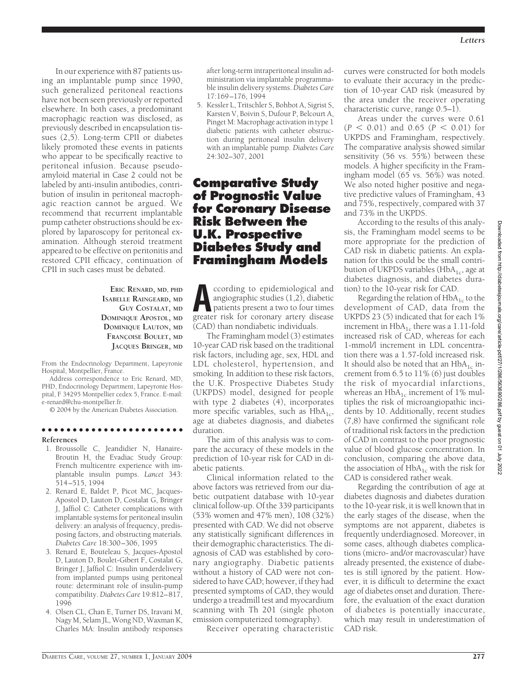In our experience with 87 patients using an implantable pump since 1990, such generalized peritoneal reactions have not been seen previously or reported elsewhere. In both cases, a predominant macrophagic reaction was disclosed, as previously described in encapsulation tissues (2,5). Long-term CPII or diabetes likely promoted these events in patients who appear to be specifically reactive to peritoneal infusion. Because pseudoamyloid material in Case 2 could not be labeled by anti-insulin antibodies, contribution of insulin in peritoneal macrophagic reaction cannot be argued. We recommend that recurrent implantable pump catheter obstructions should be explored by laparoscopy for peritoneal examination. Although steroid treatment appeared to be effective on peritonitis and restored CPII efficacy, continuation of CPII in such cases must be debated.

### **ERIC RENARD, MD, PHD ISABELLE RAINGEARD, MD GUY COSTALAT, MD DOMINIQUE APOSTOL, MD DOMINIQUE LAUTON, MD FRANC¸ OISE BOULET, MD JACQUES BRINGER, MD**

From the Endocrinology Department, Lapeyronie Hospital, Montpellier, France.

Address correspondence to Eric Renard, MD, PHD, Endocrinology Department, Lapeyronie Hospital, F 34295 Montpellier cedex 5, France. E-mail: e-renard@chu-montpellier.fr.

© 2004 by the American Diabetes Association.

#### ●●●●●●●●●●●●●●●●●●●●●●● **References**

- 1. Broussolle C, Jeandidier N, Hanaire-Broutin H, the Evadiac Study Group: French multicentre experience with implantable insulin pumps. *Lancet* 343: 514–515, 1994
- 2. Renard E, Baldet P, Picot MC, Jacques-Apostol D, Lauton D, Costalat G, Bringer J, Jaffiol C: Catheter complications with implantable systems for peritoneal insulin delivery: an analysis of frequency, predisposing factors, and obstructing materials. *Diabetes Care* 18:300–306, 1995
- 3. Renard E, Bouteleau S, Jacques-Apostol D, Lauton D, Boulet-Gibert F, Costalat G, Bringer J, Jaffiol C: Insulin underdelivery from implanted pumps using peritoneal route: determinant role of insulin-pump compatibility. *Diabetes Care* 19:812–817, 1996
- 4. Olsen CL, Chan E, Turner DS, Iravani M, Nagy M, Selam JL, Wong ND, Waxman K, Charles MA: Insulin antibody responses

after long-term intraperitoneal insulin administration via implantable programmable insulin delivery systems. *Diabetes Care* 17:169–176, 1994

5. Kessler L, Tritschler S, Bohbot A, Sigrist S, Karsten V, Boivin S, Dufour P, Belcourt A, Pinget M: Macrophage activation in type 1 diabetic patients with catheter obstruction during peritoneal insulin delivery with an implantable pump. *Diabetes Care* 24:302–307, 2001

## **Comparative Study of Prognostic Value for Coronary Disease Risk Between the U.K. Prospective Diabetes Study and Framingham Models**

**A**ccording to epidemiological and<br>angiographic studies (1,2), diabetic<br>patients present a two to four times<br>greater risk for coronary artery disease angiographic studies (1,2), diabetic patients present a two to four times greater risk for coronary artery disease (CAD) than nondiabetic individuals.

The Framingham model (3) estimates 10-year CAD risk based on the traditional risk factors, including age, sex, HDL and LDL cholesterol, hypertension, and smoking. In addition to these risk factors, the U.K. Prospective Diabetes Study (UKPDS) model, designed for people with type 2 diabetes (4), incorporates more specific variables, such as  $HbA_{1c}$ , age at diabetes diagnosis, and diabetes duration.

The aim of this analysis was to compare the accuracy of these models in the prediction of 10-year risk for CAD in diabetic patients.

Clinical information related to the above factors was retrieved from our diabetic outpatient database with 10-year clinical follow-up. Of the 339 participants (53% women and 47% men), 108 (32%) presented with CAD. We did not observe any statistically significant differences in their demographic characteristics. The diagnosis of CAD was established by coronary angiography. Diabetic patients without a history of CAD were not considered to have CAD; however, if they had presented symptoms of CAD, they would undergo a treadmill test and myocardium scanning with Th 201 (single photon emission computerized tomography).

Receiver operating characteristic

curves were constructed for both models to evaluate their accuracy in the prediction of 10-year CAD risk (measured by the area under the receiver operating characteristic curve, range 0.5–1).

Areas under the curves were 0.61  $(P < 0.01)$  and  $0.65$   $(P < 0.01)$  for UKPDS and Framingham, respectively. The comparative analysis showed similar sensitivity (56 vs. 55%) between these models. A higher specificity in the Framingham model (65 vs. 56%) was noted. We also noted higher positive and negative predictive values of Framingham, 43 and 75%, respectively, compared with 37 and 73% in the UKPDS.

According to the results of this analysis, the Framingham model seems to be more appropriate for the prediction of CAD risk in diabetic patients. An explanation for this could be the small contribution of UKPDS variables (HbA<sub>1c</sub>, age at diabetes diagnosis, and diabetes duration) to the 10-year risk for CAD.

Regarding the relation of  $HbA_{1c}$  to the development of CAD, data from the UKPDS 23 (5) indicated that for each 1% increment in HbA<sub>1c</sub> there was a 1.11-fold increased risk of CAD, whereas for each 1-mmol/l increment in LDL concentration there was a 1.57-fold increased risk. It should also be noted that an  $HbA_{1c}$  increment from 6.5 to 11% (6) just doubles the risk of myocardial infarctions, whereas an  $HbA_{1c}$  increment of 1% multiplies the risk of microangiopathic incidents by 10. Additionally, recent studies (7,8) have confirmed the significant role of traditional risk factors in the prediction of CAD in contrast to the poor prognostic value of blood glucose concentration. In conclusion, comparing the above data, the association of  $HbA_{1c}$  with the risk for CAD is considered rather weak.

Regarding the contribution of age at diabetes diagnosis and diabetes duration to the 10-year risk, it is well known that in the early stages of the disease, when the symptoms are not apparent, diabetes is frequently underdiagnosed. Moreover, in some cases, although diabetes complications (micro- and/or macrovascular) have already presented, the existence of diabetes is still ignored by the patient. However, it is difficult to determine the exact age of diabetes onset and duration. Therefore, the evaluation of the exact duration of diabetes is potentially inaccurate, which may result in underestimation of CAD risk.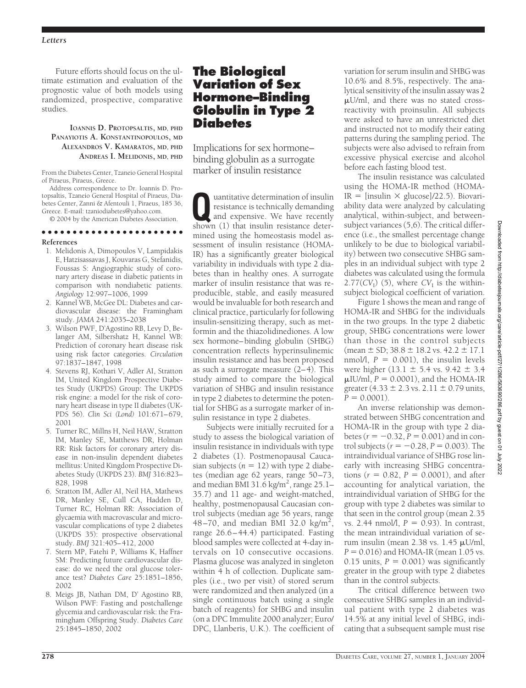Future efforts should focus on the ultimate estimation and evaluation of the prognostic value of both models using randomized, prospective, comparative studies.

### **IOANNIS D. PROTOPSALTIS, MD, PHD PANAYIOTIS A. KONSTANTINOPOULOS, MD ALEXANDROS V. KAMARATOS, MD, PHD ANDREAS I. MELIDONIS, MD, PHD**

From the Diabetes Center, Tzaneio General Hospital of Piraeus, Piraeus, Greece.

Address correspondence to Dr. Ioannis D. Protopsaltis, Tzaneio General Hospital of Piraeus, Diabetes Center, Zanni & Afentouli 1, Piraeus, 185 36, Greece. E-mail: tzaniodiabetes@yahoo.com.

© 2004 by the American Diabetes Association.

## ●●●●●●●●●●●●●●●●●●●●●●●

- **References**
- 1. Melidonis A, Dimopoulos V, Lampidakis E, Hatzisassavas J, Kouvaras G, Stefanidis, Foussas S: Angiographic study of coronary artery disease in diabetic patients in comparison with nondiabetic patients. *Angiology* 12:997–1006, 1999
- 2. Kannel WB, McGee DL: Diabetes and cardiovascular disease: the Framingham study. *JAMA* 241:2035–2038
- 3. Wilson PWF, D'Agostino RB, Levy D, Belanger AM, Silbershatz H, Kannel WB: Prediction of coronary heart disease risk using risk factor categories. *Circulation* 97:1837–1847, 1998
- 4. Stevens RJ, Kothari V, Adler AI, Stratton IM, United Kingdom Prospective Diabetes Study (UKPDS) Group: The UKPDS risk engine: a model for the risk of coronary heart disease in type II diabetes (UK-PDS 56). *Clin Sci (Lond)* 101:671–679, 2001
- 5. Turner RC, Millns H, Neil HAW, Stratton IM, Manley SE, Matthews DR, Holman RR: Risk factors for coronary artery disease in non-insulin dependent diabetes mellitus: United Kingdom Prospective Diabetes Study (UKPDS 23). *BMJ* 316:823– 828, 1998
- 6. Stratton IM, Adler AI, Neil HA, Mathews DR, Manley SE, Cull CA, Hadden D, Turner RC, Holman RR: Association of glycaemia with macrovascular and microvascular complications of type 2 diabetes (UKPDS 35): prospective observational study. *BMJ* 321:405–412, 2000
- 7. Stern MP, Fatehi P, Williams K, Haffner SM: Predicting future cardiovascular disease: do we need the oral glucose tolerance test? *Diabetes Care* 25:1851–1856, 2002
- 8. Meigs JB, Nathan DM, D' Agostino RB, Wilson PWF: Fasting and postchallenge glycemia and cardiovascular risk: the Framingham Offspring Study. *Diabetes Care* 25:1845–1850, 2002

## **The Biological Variation of Sex Hormone–Binding Globulin in Type 2 Diabetes**

Implications for sex hormone– binding globulin as a surrogate marker of insulin resistance

**Quantitative determination of insulin**<br>
resistance is technically demanding<br>
and expensive. We have recently<br>
shown (1) that insulin resistance deterresistance is technically demanding shown (1) that insulin resistance determined using the homeostasis model assessment of insulin resistance (HOMA-IR) has a significantly greater biological variability in individuals with type 2 diabetes than in healthy ones. A surrogate marker of insulin resistance that was reproducible, stable, and easily measured would be invaluable for both research and clinical practice, particularly for following insulin-sensitizing therapy, such as metformin and the thiazolidinediones. A low sex hormone–binding globulin (SHBG) concentration reflects hyperinsulinemic insulin resistance and has been proposed as such a surrogate measure (2–4). This study aimed to compare the biological variation of SHBG and insulin resistance in type 2 diabetes to determine the potential for SHBG as a surrogate marker of insulin resistance in type 2 diabetes.

Subjects were initially recruited for a study to assess the biological variation of insulin resistance in individuals with type 2 diabetes (1). Postmenopausal Caucasian subjects  $(n = 12)$  with type 2 diabetes (median age 62 years, range 50–73, and median BMI 31.6 kg/m<sup>2</sup>, range 25.1– 35.7) and 11 age- and weight-matched, healthy, postmenopausal Caucasian control subjects (median age 56 years, range 48–70, and median BMI 32.0 kg/m<sup>2</sup>, range 26.6–44.4) participated. Fasting blood samples were collected at 4-day intervals on 10 consecutive occasions. Plasma glucose was analyzed in singleton within 4 h of collection. Duplicate samples (i.e., two per visit) of stored serum were randomized and then analyzed (in a single continuous batch using a single batch of reagents) for SHBG and insulin (on a DPC Immulite 2000 analyzer; Euro/ DPC, Llanberis, U.K.). The coefficient of

variation for serum insulin and SHBG was 10.6% and 8.5%, respectively. The analytical sensitivity of the insulin assay was 2 U/ml, and there was no stated crossreactivity with proinsulin. All subjects were asked to have an unrestricted diet and instructed not to modify their eating patterns during the sampling period. The subjects were also advised to refrain from excessive physical exercise and alcohol before each fasting blood test.

The insulin resistance was calculated using the HOMA-IR method (HOMA- $IR = [insulin \times glucose]/22.5)$ . Biovariability data were analyzed by calculating analytical, within-subject, and betweensubject variances (5,6). The critical difference (i.e., the smallest percentage change unlikely to be due to biological variability) between two consecutive SHBG samples in an individual subject with type 2 diabetes was calculated using the formula  $2.77(CV_1)$  (5), where  $CV_1$  is the withinsubject biological coefficient of variation.

Figure 1 shows the mean and range of HOMA-IR and SHBG for the individuals in the two groups. In the type 2 diabetic group, SHBG concentrations were lower than those in the control subjects (mean  $\pm$  SD; 38.8  $\pm$  18.2 vs. 42.2  $\pm$  17.1 nmol/l,  $P = 0.001$ ), the insulin levels were higher (13.1  $\pm$  5.4 vs. 9.42  $\pm$  3.4  $\mu$ IU/ml,  $P = 0.0001$ ), and the HOMA-IR greater (4.33  $\pm$  2.3 vs. 2.11  $\pm$  0.79 units,  $P = 0.0001$ .

An inverse relationship was demonstrated between SHBG concentration and HOMA-IR in the group with type 2 diabetes  $(r = -0.32, P = 0.001)$  and in control subjects ( $r = -0.28$ ,  $P = 0.003$ ). The intraindividual variance of SHBG rose linearly with increasing SHBG concentrations  $(r = 0.82, P = 0.0001)$ , and after accounting for analytical variation, the intraindividual variation of SHBG for the group with type 2 diabetes was similar to that seen in the control group (mean 2.35 vs. 2.44 nmol $/$ ,  $P = 0.93$ ). In contrast, the mean intraindividual variation of serum insulin (mean  $2.38$  vs.  $1.45 \mu U/ml$ ,  $P = 0.016$ ) and HOMA-IR (mean 1.05 vs. 0.15 units,  $P = 0.001$ ) was significantly greater in the group with type 2 diabetes than in the control subjects.

The critical difference between two consecutive SHBG samples in an individual patient with type 2 diabetes was 14.5% at any initial level of SHBG, indicating that a subsequent sample must rise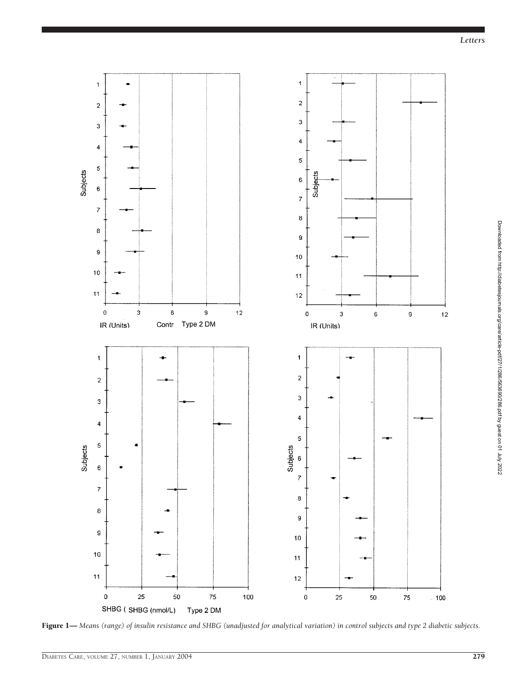

Figure 1— *Means (range) of insulin resistance and SHBG (unadjusted for analytical variation) in control subjects and type 2 diabetic subjects.*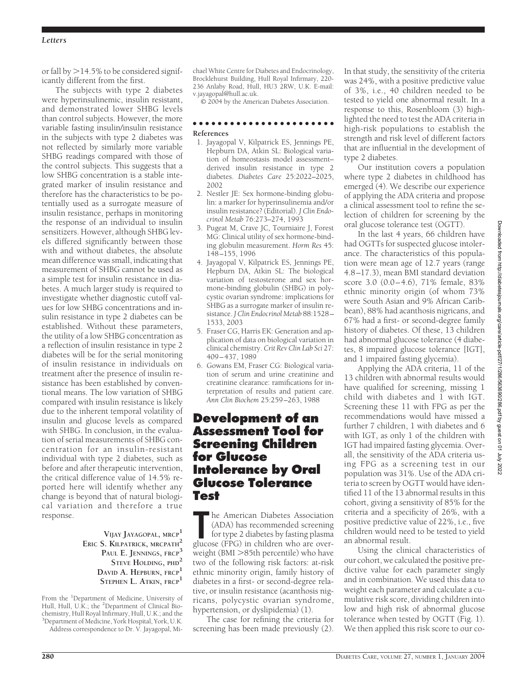### *Letters*

or fall by  $>$  14.5% to be considered significantly different from the first.

The subjects with type 2 diabetes were hyperinsulinemic, insulin resistant, and demonstrated lower SHBG levels than control subjects. However, the more variable fasting insulin/insulin resistance in the subjects with type 2 diabetes was not reflected by similarly more variable SHBG readings compared with those of the control subjects. This suggests that a low SHBG concentration is a stable integrated marker of insulin resistance and therefore has the characteristics to be potentially used as a surrogate measure of insulin resistance, perhaps in monitoring the response of an individual to insulin sensitizers. However, although SHBG levels differed significantly between those with and without diabetes, the absolute mean difference was small, indicating that measurement of SHBG cannot be used as a simple test for insulin resistance in diabetes. A much larger study is required to investigate whether diagnostic cutoff values for low SHBG concentrations and insulin resistance in type 2 diabetes can be established. Without these parameters, the utility of a low SHBG concentration as a reflection of insulin resistance in type 2 diabetes will be for the serial monitoring of insulin resistance in individuals on treatment after the presence of insulin resistance has been established by conventional means. The low variation of SHBG compared with insulin resistance is likely due to the inherent temporal volatility of insulin and glucose levels as compared with SHBG. In conclusion, in the evaluation of serial measurements of SHBG concentration for an insulin-resistant individual with type 2 diabetes, such as before and after therapeutic intervention, the critical difference value of 14.5% reported here will identify whether any change is beyond that of natural biological variation and therefore a true response.

> **VIJAY JAYAGOPAL, MRCP<sup>1</sup> ERIC S. KILPATRICK, MRCPATH<sup>2</sup> PAUL E. JENNINGS, FRCP<sup>3</sup> STEVE HOLDING, PHD<sup>2</sup> DAVID A. HEPBURN, FRCP<sup>1</sup> STEPHEN L. ATKIN, FRCP<sup>1</sup>**

From the <sup>1</sup>Department of Medicine, University of Hull, Hull, U.K.; the <sup>2</sup>Department of Clinical Biochemistry, Hull Royal Infirmary, Hull, U.K.; and the <sup>3</sup> <sup>3</sup>Department of Medicine, York Hospital, York, U.K.

Address correspondence to Dr. V. Jayagopal, Mi-

chael White Centre for Diabetes and Endocrinology, Brocklehurst Building, Hull Royal Infirmary, 220- 236 Anlaby Road, Hull, HU3 2RW, U.K. E-mail: v.jayagopal@hull.ac.uk.

© 2004 by the American Diabetes Association.

#### ●●●●●●●●●●●●●●●●●●●●●●●

### **References**

- 1. Jayagopal V, Kilpatrick ES, Jennings PE, Hepburn DA, Atkin SL: Biological variation of homeostasis model assessment– derived insulin resistance in type 2 diabetes. *Diabetes Care* 25:2022–2025, 2002
- 2. Nestler JE: Sex hormone-binding globulin: a marker for hyperinsulinemia and/or insulin resistance? (Editorial). *J Clin Endocrinol Metab* 76:273–274, 1993
- 3. Pugeat M, Crave JC, Tourniaire J, Forest MG: Clinical utility of sex hormone-binding globulin measurement. *Horm Res* 45: 148–155, 1996
- 4. Jayagopal V, Kilpatrick ES, Jennings PE, Hepburn DA, Atkin SL: The biological variation of testosterone and sex hormone-binding globulin (SHBG) in polycystic ovarian syndrome: implications for SHBG as a surrogate marker of insulin resistance. *J Clin Endocrinol Metab* 88:1528– 1533, 2003
- 5. Fraser CG, Harris EK: Generation and application of data on biological variation in clinical chemistry. *Crit Rev Clin Lab Sci* 27: 409–437, 1989
- 6. Gowans EM, Fraser CG: Biological variation of serum and urine creatinine and creatinine clearance: ramifications for interpretation of results and patient care. *Ann Clin Biochem* 25:259–263, 1988

## **Development of an Assessment Tool for Screening Children for Glucose Intolerance by Oral Glucose Tolerance Test**

**The American Diabetes Association**<br>
(ADA) has recommended screening<br>
for type 2 diabetes by fasting plasma<br>
glucose (FPG) in children who are overhe American Diabetes Association (ADA) has recommended screening for type 2 diabetes by fasting plasma weight (BMI  $>85$ th percentile) who have two of the following risk factors: at-risk ethnic minority origin, family history of diabetes in a first- or second-degree relative, or insulin resistance (acanthosis nigricans, polycystic ovarian syndrome, hypertension, or dyslipidemia) (1).

The case for refining the criteria for screening has been made previously (2).

In that study, the sensitivity of the criteria was 24%, with a positive predictive value of 3%, i.e., 40 children needed to be tested to yield one abnormal result. In a response to this, Rosenbloom (3) highlighted the need to test the ADA criteria in high-risk populations to establish the strength and risk level of different factors that are influential in the development of type 2 diabetes.

Our institution covers a population where type 2 diabetes in childhood has emerged (4). We describe our experience of applying the ADA criteria and propose a clinical assessment tool to refine the selection of children for screening by the oral glucose tolerance test (OGTT).

In the last 4 years, 66 children have had OGTTs for suspected glucose intolerance. The characteristics of this population were mean age of 12.7 years (range 4.8–17.3), mean BMI standard deviation score 3.0 (0.0–4.6), 71% female, 83% ethnic minority origin (of whom 73% were South Asian and 9% African Caribbean), 88% had acanthosis nigricans, and 67% had a first- or second-degree family history of diabetes. Of these, 13 children had abnormal glucose tolerance (4 diabetes, 8 impaired glucose tolerance [IGT], and 1 impaired fasting glycemia).

Applying the ADA criteria, 11 of the 13 children with abnormal results would have qualified for screening, missing 1 child with diabetes and 1 with IGT. Screening these 11 with FPG as per the recommendations would have missed a further 7 children, 1 with diabetes and 6 with IGT, as only 1 of the children with IGT had impaired fasting glycemia. Overall, the sensitivity of the ADA criteria using FPG as a screening test in our population was 31%. Use of the ADA criteria to screen by OGTT would have identified 11 of the 13 abnormal results in this cohort, giving a sensitivity of 85% for the criteria and a specificity of 26%, with a positive predictive value of 22%, i.e., five children would need to be tested to yield an abnormal result.

Using the clinical characteristics of our cohort, we calculated the positive predictive value for each parameter singly and in combination. We used this data to weight each parameter and calculate a cumulative risk score, dividing children into low and high risk of abnormal glucose tolerance when tested by OGTT (Fig. 1). We then applied this risk score to our co-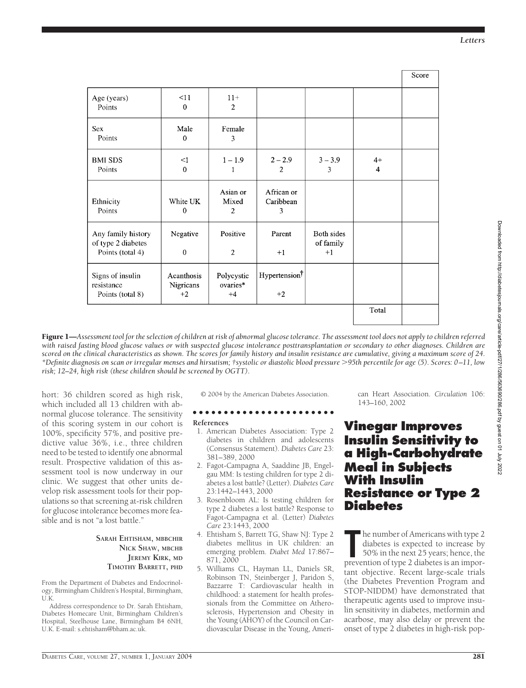*Letters*

 $\overline{S_{\text{core}}}$ 

|                                                              |                                 |                                |                              |                                 |                        | ovuv |
|--------------------------------------------------------------|---------------------------------|--------------------------------|------------------------------|---------------------------------|------------------------|------|
| Age (years)<br>Points                                        | $\leq$ 11<br>$\Omega$           | $11+$<br>$\overline{2}$        |                              |                                 |                        |      |
| <b>Sex</b><br>Points                                         | Male<br>$\mathbf 0$             | Female<br>3                    |                              |                                 |                        |      |
| <b>BMI SDS</b><br>Points                                     | $\leq$ 1<br>$\Omega$            | $1 - 1.9$<br>1                 | $2 - 2.9$<br>$\overline{2}$  | $3 - 3.9$<br>3                  | $4+$<br>$\overline{4}$ |      |
| Ethnicity<br>Points                                          | White UK<br>$\mathbf{0}$        | Asian or<br>Mixed<br>2         | African or<br>Caribbean<br>3 |                                 |                        |      |
| Any family history<br>of type 2 diabetes<br>Points (total 4) | Negative<br>$\mathbf 0$         | Positive<br>$\overline{2}$     | Parent<br>$+1$               | Both sides<br>of family<br>$+1$ |                        |      |
| Signs of insulin<br>resistance<br>Points (total 8)           | Acanthosis<br>Nigricans<br>$+2$ | Polycystic<br>ovaries*<br>$+4$ | Hypertension<br>$+2$         |                                 |                        |      |
|                                                              |                                 |                                |                              |                                 | Total                  |      |
|                                                              |                                 |                                |                              |                                 |                        |      |

Figure 1—*Assessment tool for the selection of children at risk of abnormal glucose tolerance. The assessment tool does not apply to children referred with raised fasting blood glucose values or with suspected glucose intolerance posttransplantation or secondary to other diagnoses. Children are scored on the clinical characteristics as shown. The scores for family history and insulin resistance are cumulative, giving a maximum score of 24. \*Definite diagnosis on scan or irregular menses and hirsutism; †systolic or diastolic blood pressure 95th percentile for age (5). Scores: 0–11, low risk; 12–24, high risk (these children should be screened by OGTT).*

hort: 36 children scored as high risk, which included all 13 children with abnormal glucose tolerance. The sensitivity of this scoring system in our cohort is 100%, specificity 57%, and positive predictive value 36%, i.e., three children need to be tested to identify one abnormal result. Prospective validation of this assessment tool is now underway in our clinic. We suggest that other units develop risk assessment tools for their populations so that screening at-risk children for glucose intolerance becomes more feasible and is not "a lost battle."

> **SARAH EHTISHAM, MBBCHIR NICK SHAW, MBCHB JEREMY KIRK, MD TIMOTHY BARRETT, PHD**

From the Department of Diabetes and Endocrinology, Birmingham Children's Hospital, Birmingham, U.K.

Address correspondence to Dr. Sarah Ehtisham, Diabetes Homecare Unit, Birmingham Children's Hospital, Steelhouse Lane, Birmingham B4 6NH, U.K. E-mail: s.ehtisham@bham.ac.uk.

© 2004 by the American Diabetes Association.

#### ●●●●●●●●●●●●●●●●●●●●●●● **References**

- 1. American Diabetes Association: Type 2 diabetes in children and adolescents (Consensus Statement). *Diabetes Care* 23: 381–389, 2000
- 2. Fagot-Campagna A, Saaddine JB, Engelgau MM: Is testing children for type 2 diabetes a lost battle? (Letter). *Diabetes Care* 23:1442–1443, 2000
- 3. Rosenbloom AL: Is testing children for type 2 diabetes a lost battle? Response to Fagot-Campagna et al. (Letter) *Diabetes Care* 23:1443, 2000
- 4. Ehtisham S, Barrett TG, Shaw NJ: Type 2 diabetes mellitus in UK children: an emerging problem. *Diabet Med* 17:867– 871, 2000
- 5. Williams CL, Hayman LL, Daniels SR, Robinson TN, Steinberger J, Paridon S, Bazzarre T: Cardiovascular health in childhood: a statement for health professionals from the Committee on Atherosclerosis, Hypertension and Obesity in the Young (AHOY) of the Council on Cardiovascular Disease in the Young, Ameri-

can Heart Association. *Circulation* 106: 143–160, 2002

## **Vinegar Improves Insulin Sensitivity to a High-Carbohydrate Meal in Subjects With Insulin Resistance or Type 2 Diabetes**

The number of Americans with type 2 diabetes is expected to increase by 50% in the next 25 years; hence, the prevention of type 2 diabetes is an imporhe number of Americans with type 2 diabetes is expected to increase by 50% in the next 25 years; hence, the tant objective. Recent large-scale trials (the Diabetes Prevention Program and STOP-NIDDM) have demonstrated that therapeutic agents used to improve insulin sensitivity in diabetes, metformin and acarbose, may also delay or prevent the onset of type 2 diabetes in high-risk pop-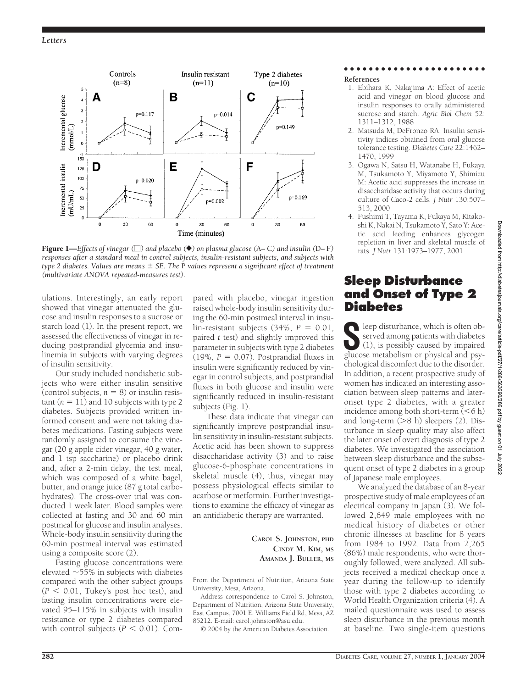

Figure 1—*Effects of vinegar () and placebo (*}*) on plasma glucose (*A*–* C*) and insulin (*D*–* F*) responses after a standard meal in control subjects, insulin-resistant subjects, and subjects with type 2 diabetes. Values are means SE. The* P *values represent a significant effect of treatment (multivariate ANOVA repeated-measures test).*

ulations. Interestingly, an early report showed that vinegar attenuated the glucose and insulin responses to a sucrose or starch load (1). In the present report, we assessed the effectiveness of vinegar in reducing postprandial glycemia and insulinemia in subjects with varying degrees of insulin sensitivity.

Our study included nondiabetic subjects who were either insulin sensitive (control subjects,  $n = 8$ ) or insulin resistant  $(n = 11)$  and 10 subjects with type 2 diabetes. Subjects provided written informed consent and were not taking diabetes medications. Fasting subjects were randomly assigned to consume the vinegar (20 g apple cider vinegar, 40 g water, and 1 tsp saccharine) or placebo drink and, after a 2-min delay, the test meal, which was composed of a white bagel, butter, and orange juice (87 g total carbohydrates). The cross-over trial was conducted 1 week later. Blood samples were collected at fasting and 30 and 60 min postmeal for glucose and insulin analyses. Whole-body insulin sensitivity during the 60-min postmeal interval was estimated using a composite score (2).

Fasting glucose concentrations were elevated  $~55\%$  in subjects with diabetes compared with the other subject groups  $(P < 0.01$ , Tukey's post hoc test), and fasting insulin concentrations were elevated 95–115% in subjects with insulin resistance or type 2 diabetes compared with control subjects ( $P < 0.01$ ). Com-

pared with placebo, vinegar ingestion raised whole-body insulin sensitivity during the 60-min postmeal interval in insu $lin-resistant$  subjects (34%,  $P = 0.01$ , paired *t* test) and slightly improved this parameter in subjects with type 2 diabetes  $(19\%, P = 0.07)$ . Postprandial fluxes in insulin were significantly reduced by vinegar in control subjects, and postprandial fluxes in both glucose and insulin were significantly reduced in insulin-resistant subjects (Fig. 1).

These data indicate that vinegar can significantly improve postprandial insulin sensitivity in insulin-resistant subjects. Acetic acid has been shown to suppress disaccharidase activity (3) and to raise glucose-6-phosphate concentrations in skeletal muscle (4); thus, vinegar may possess physiological effects similar to acarbose or metformin. Further investigations to examine the efficacy of vinegar as an antidiabetic therapy are warranted.

> **CAROL S. JOHNSTON, PHD CINDY M. KIM, MS AMANDA J. BULLER, MS**

From the Department of Nutrition, Arizona State University, Mesa, Arizona.

Address correspondence to Carol S. Johnston, Department of Nutrition, Arizona State University, East Campus, 7001 E. Williams Field Rd, Mesa, AZ 85212. E-mail: carol.johnston@asu.edu.

© 2004 by the American Diabetes Association.

## ●●●●●●●●●●●●●●●●●●●●●●●

- **References**
- 1. Ebihara K, Nakajima A: Effect of acetic acid and vinegar on blood glucose and insulin responses to orally administered sucrose and starch. *Agric Biol Chem* 52: 1311–1312, 1988
- 2. Matsuda M, DeFronzo RA: Insulin sensitivity indices obtained from oral glucose tolerance testing. *Diabetes Care* 22:1462– 1470, 1999
- 3. Ogawa N, Satsu H, Watanabe H, Fukaya M, Tsukamoto Y, Miyamoto Y, Shimizu M: Acetic acid suppresses the increase in disaccharidase activity that occurs during culture of Caco-2 cells. *J Nutr* 130:507– 513, 2000
- 4. Fushimi T, Tayama K, Fukaya M, Kitakoshi K, Nakai N, Tsukamoto Y, Sato Y: Acetic acid feeding enhances glycogen repletion in liver and skeletal muscle of rats. *J Nutr* 131:1973–1977, 2001

## **Sleep Disturbance and Onset of Type 2 Diabetes**

 $\bigcap$  leep disturbance, which is often observed among patients with diabetes (1), is possibly caused by impaired glucose metabolism or physical and psychological discomfort due to the disorder. In addition, a recent prospective study of women has indicated an interesting association between sleep patterns and lateronset type 2 diabetes, with a greater incidence among both short-term  $(< 6 h)$ and long-term  $($ >8 h) sleepers (2). Disturbance in sleep quality may also affect the later onset of overt diagnosis of type 2 diabetes. We investigated the association between sleep disturbance and the subsequent onset of type 2 diabetes in a group of Japanese male employees.

We analyzed the database of an 8-year prospective study of male employees of an electrical company in Japan (3). We followed 2,649 male employees with no medical history of diabetes or other chronic illnesses at baseline for 8 years from 1984 to 1992. Data from 2,265 (86%) male respondents, who were thoroughly followed, were analyzed. All subjects received a medical checkup once a year during the follow-up to identify those with type 2 diabetes according to World Health Organization criteria (4). A mailed questionnaire was used to assess sleep disturbance in the previous month at baseline. Two single-item questions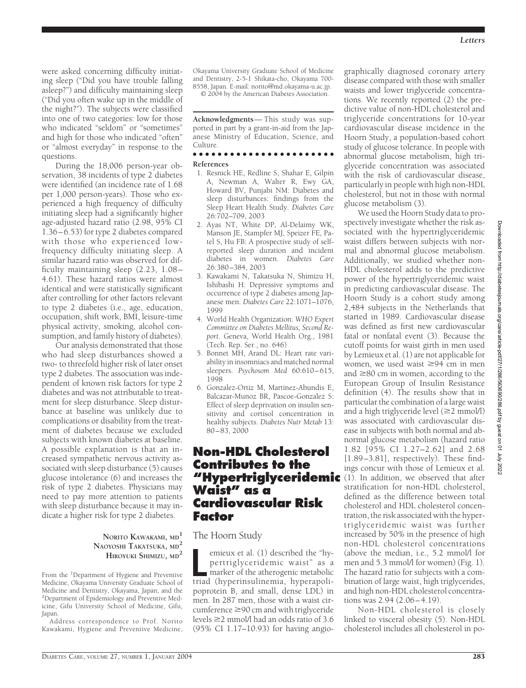were asked concerning difficulty initiating sleep ("Did you have trouble falling asleep?") and difficulty maintaining sleep ("Did you often wake up in the middle of the night?"). The subjects were classified into one of two categories: low for those who indicated "seldom" or "sometimes" and high for those who indicated "often" or "almost everyday" in response to the questions.

During the 18,006 person-year observation, 38 incidents of type 2 diabetes were identified (an incidence rate of 1.68 per 1,000 person-years). Those who experienced a high frequency of difficulty initiating sleep had a significantly higher age-adjusted hazard ratio (2.98, 95% CI 1.36–6.53) for type 2 diabetes compared with those who experienced lowfrequency difficulty initiating sleep. A similar hazard ratio was observed for difficulty maintaining sleep (2.23, 1.08 – 4.61). These hazard ratios were almost identical and were statistically significant after controlling for other factors relevant to type 2 diabetes (i.e., age, education, occupation, shift work, BMI, leisure-time physical activity, smoking, alcohol consumption, and family history of diabetes).

Our analysis demonstrated that those who had sleep disturbances showed a two- to threefold higher risk of later onset type 2 diabetes. The association was independent of known risk factors for type 2 diabetes and was not attributable to treatment for sleep disturbance. Sleep disturbance at baseline was unlikely due to complications or disability from the treatment of diabetes because we excluded subjects with known diabetes at baseline. A possible explanation is that an increased sympathetic nervous activity associated with sleep disturbance (5) causes glucose intolerance (6) and increases the risk of type 2 diabetes. Physicians may need to pay more attention to patients with sleep disturbance because it may indicate a higher risk for type 2 diabetes.

### **NORITO KAWAKAMI, MD<sup>1</sup> NAOYOSHI TAKATSUKA, MD<sup>2</sup> HIROYUKI SHIMIZU, MD<sup>2</sup>**

From the <sup>1</sup>Department of Hygiene and Preventive Medicine, Okayama University Graduate School of Medicine and Dentistry, Okayama, Japan; and the 2 Department of Epidemiology and Preventive Medicine, Gifu University School of Medicine, Gifu, Japan.

Address correspondence to Prof. Norito Kawakami, Hygiene and Preventive Medicine,

Okayama University Graduate School of Medicine and Dentistry, 2-5-1 Shikata-cho, Okayama 700- 8558, Japan. E-mail: norito@md.okayama-u.ac.jp.

© 2004 by the American Diabetes Association.

**Acknowledgments**— This study was supported in part by a grant-in-aid from the Japanese Ministry of Education, Science, and Culture.

### ●●●●●●●●●●●●●●●●●●●●●●●

### **References**

- 1. Resnick HE, Redline S, Shahar E, Gilpin A, Newman A, Walter R, Ewy GA, Howard BV, Punjabi NM: Diabetes and sleep disturbances: findings from the Sleep Heart Health Study. *Diabetes Care* 26:702–709, 2003
- 2. Ayas NT, White DP, Al-Delaimy WK, Manson JE, Stampfer MJ, Speizer FE, Patel S, Hu FB: A prospective study of selfreported sleep duration and incident diabetes in women. *Diabetes Care* 26:380–384, 2003
- 3. Kawakami N, Takatsuka N, Shimizu H, Ishibashi H: Depressive symptoms and occurrence of type 2 diabetes among Japanese men. *Diabetes Care* 22:1071–1076, 1999
- 4. World Health Organization: *WHO Expert Committee on Diabetes Mellitus, Second Report*. Geneva, World Health Org., 1981 (Tech. Rep. Ser., no. 646)
- 5. Bonnet MH, Arand DL: Heart rate variability in insomniacs and matched normal sleepers. *Psychosom Med* 60:610–615, 1998
- 6. Gonzalez-Ortiz M, Martinez-Abundis E, Balcazar-Munoz BR, Pascoe-Gonzalez S: Effect of sleep deprivation on insulin sensitivity and cortisol concentration in healthy subjects. *Diabetes Nutr Metab* 13: 80–83, 2000

## **Non-HDL Cholesterol Contributes to the "Hypertriglyceridemic** (1). In addition, we observed that after **Waist" as a Cardiovascular Risk Factor**

### The Hoorn Study

emieux et al. (1) described the "hypertriglyceridemic waist" as a<br>
marker of the atherogenic metabolic<br>
triad (hyperinsulinemia, hyperapoliemieux et al. (1) described the "hypertriglyceridemic waist" as a marker of the atherogenic metabolic poprotein B, and small, dense LDL) in men. In 287 men, those with a waist circumference  $\geq 90$  cm and with triglyceride levels  $\geq$  2 mmol/l had an odds ratio of 3.6 (95% CI 1.17–10.93) for having angio-

graphically diagnosed coronary artery disease compared with those with smaller waists and lower triglyceride concentrations. We recently reported (2) the predictive value of non-HDL cholesterol and triglyceride concentrations for 10-year cardiovascular disease incidence in the Hoorn Study, a population-based cohort study of glucose tolerance. In people with abnormal glucose metabolism, high triglyceride concentration was associated with the risk of cardiovascular disease, particularly in people with high non-HDL cholesterol, but not in those with normal glucose metabolism (3).

We used the Hoorn Study data to prospectively investigate whether the risk associated with the hypertriglyceridemic waist differs between subjects with normal and abnormal glucose metabolism. Additionally, we studied whether non-HDL cholesterol adds to the predictive power of the hypertriglyceridemic waist in predicting cardiovascular disease. The Hoorn Study is a cohort study among 2,484 subjects in the Netherlands that started in 1989. Cardiovascular disease was defined as first new cardiovascular fatal or nonfatal event (3). Because the cutoff points for waist girth in men used by Lemieux et al. (1) are not applicable for women, we used waist  $\geq 94$  cm in men and  $\geq$ 80 cm in women, according to the European Group of Insulin Resistance definition (4). The results show that in particular the combination of a large waist and a high triglyceride level  $(\geq 2$  mmol/l) was associated with cardiovascular disease in subjects with both normal and abnormal glucose metabolism (hazard ratio 1.82 [95% CI 1.27–2.62] and 2.68 [1.89–3.81], respectively). These findings concur with those of Lemieux et al. stratification for non-HDL cholesterol, defined as the difference between total cholesterol and HDL cholesterol concentration, the risk associated with the hypertriglyceridemic waist was further increased by 50% in the presence of high non-HDL cholesterol concentrations (above the median, i.e., 5.2 mmol/l for men and 5.3 mmol/l for women) (Fig. 1). The hazard ratio for subjects with a combination of large waist, high triglycerides, and high non-HDL cholesterol concentrations was 2.94 (2.06–4.19).

Non-HDL cholesterol is closely linked to visceral obesity (5). Non-HDL cholesterol includes all cholesterol in po-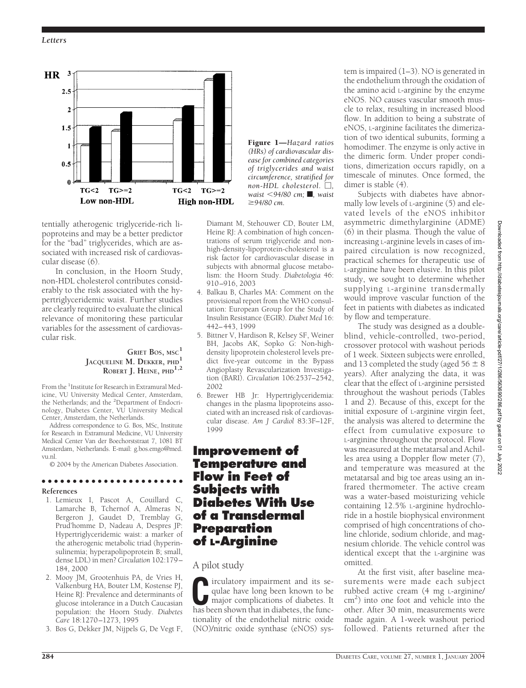

tentially atherogenic triglyceride-rich lipoproteins and may be a better predictor for the "bad" triglycerides, which are associated with increased risk of cardiovascular disease (6).

In conclusion, in the Hoorn Study, non-HDL cholesterol contributes considerably to the risk associated with the hypertriglyceridemic waist. Further studies are clearly required to evaluate the clinical relevance of monitoring these particular variables for the assessment of cardiovascular risk.

### **GRIE¨T BOS, MSC<sup>1</sup> JACQUELINE M. DEKKER, PHD<sup>1</sup> ROBERT J. HEINE, PHD1,2**

From the <sup>1</sup>Institute for Research in Extramural Medicine, VU University Medical Center, Amsterdam, the Netherlands; and the <sup>2</sup>Department of Endocrinology, Diabetes Center, VU University Medical Center, Amsterdam, the Netherlands.

Address correspondence to G. Bos, MSc, Institute for Research in Extramural Medicine, VU University Medical Center Van der Boechorststraat 7, 1081 BT Amsterdam, Netherlands. E-mail: g.bos.emgo@med. vu.nl.

© 2004 by the American Diabetes Association. ●●●●●●●●●●●●●●●●●●●●●●●

## **References**

- 1. Lemieux I, Pascot A, Couillard C, Lamarche B, Tchernof A, Almeras N, Bergeron J, Gaudet D, Tremblay G, Prud'homme D, Nadeau A, Despres JP: Hypertriglyceridemic waist: a marker of the atherogenic metabolic triad (hyperinsulinemia; hyperapolipoprotein B; small, dense LDL) in men? *Circulation* 102:179– 184, 2000
- 2. Mooy JM, Grootenhuis PA, de Vries H, Valkenburg HA, Bouter LM, Kostense PJ, Heine RJ: Prevalence and determinants of glucose intolerance in a Dutch Caucasian population: the Hoorn Study. *Diabetes Care* 18:1270–1273, 1995
- 3. Bos G, Dekker JM, Nijpels G, De Vegt F,

Figure 1—*Hazard ratios (HRs) of cardiovascular disease for combined categories of triglycerides and waist circumference, stratified for*  $non-HDL$  cholesterol.  $\Box$ , *waist* -*94/80 cm;* f*, waist 94/80 cm.*

Diamant M, Stehouwer CD, Bouter LM, Heine RJ: A combination of high concentrations of serum triglyceride and nonhigh-density-lipoprotein-cholesterol is a risk factor for cardiovascular disease in subjects with abnormal glucose metabolism: the Hoorn Study. *Diabetologia* 46: 910–916, 2003

- 4. Balkau B, Charles MA: Comment on the provisional report from the WHO consultation: European Group for the Study of Insulin Resistance (EGIR). *Diabet Med* 16: 442–443, 1999
- 5. Bittner V, Hardison R, Kelsey SF, Weiner BH, Jacobs AK, Sopko G: Non-highdensity lipoprotein cholesterol levels predict five-year outcome in the Bypass Angioplasty Revascularization Investigation (BARI). *Circulation* 106:2537–2542, 2002
- 6. Brewer HB Jr: Hypertriglyceridemia: changes in the plasma lipoproteins associated with an increased risk of cardiovascular disease. *Am J Cardiol* 83:3F–12F, 1999

## **Improvement of Temperature and Flow in Feet of Subjects with Diabetes With Use of a Transdermal Preparation of L-Arginine**

## A pilot study

**C**irculatory impairment and its sequilae have long been known to be major complications of diabetes. It has been shown that in diabetes the funcqulae have long been known to be has been shown that in diabetes, the functionality of the endothelial nitric oxide (NO)/nitric oxide synthase (eNOS) system is impaired (1–3). NO is generated in the endothelium through the oxidation of the amino acid L-arginine by the enzyme eNOS. NO causes vascular smooth muscle to relax, resulting in increased blood flow. In addition to being a substrate of eNOS, L-arginine facilitates the dimerization of two identical subunits, forming a homodimer. The enzyme is only active in the dimeric form. Under proper conditions, dimerization occurs rapidly, on a timescale of minutes. Once formed, the dimer is stable (4).

Subjects with diabetes have abnormally low levels of L-arginine (5) and elevated levels of the eNOS inhibitor asymmetric dimethylarginine (ADME) (6) in their plasma. Though the value of increasing L-arginine levels in cases of impaired circulation is now recognized, practical schemes for therapeutic use of L-arginine have been elusive. In this pilot study, we sought to determine whether supplying L-arginine transdermally would improve vascular function of the feet in patients with diabetes as indicated by flow and temperature.

The study was designed as a doubleblind, vehicle-controlled, two-period, crossover protocol with washout periods of 1 week. Sixteen subjects were enrolled, and 13 completed the study (aged  $56 \pm 8$ years). After analyzing the data, it was clear that the effect of L-arginine persisted throughout the washout periods (Tables 1 and 2). Because of this, except for the initial exposure of L-arginine virgin feet, the analysis was altered to determine the effect from cumulative exposure to L-arginine throughout the protocol. Flow was measured at the metatarsal and Achilles area using a Doppler flow meter (7), and temperature was measured at the metatarsal and big toe areas using an infrared thermometer. The active cream was a water-based moisturizing vehicle containing 12.5% L-arginine hydrochloride in a hostile biophysical environment comprised of high concentrations of choline chloride, sodium chloride, and magnesium chloride. The vehicle control was identical except that the L-arginine was omitted.

At the first visit, after baseline measurements were made each subject rubbed active cream (4 mg L-arginine/ cm<sup>2</sup>) into one foot and vehicle into the other. After 30 min, measurements were made again. A 1-week washout period followed. Patients returned after the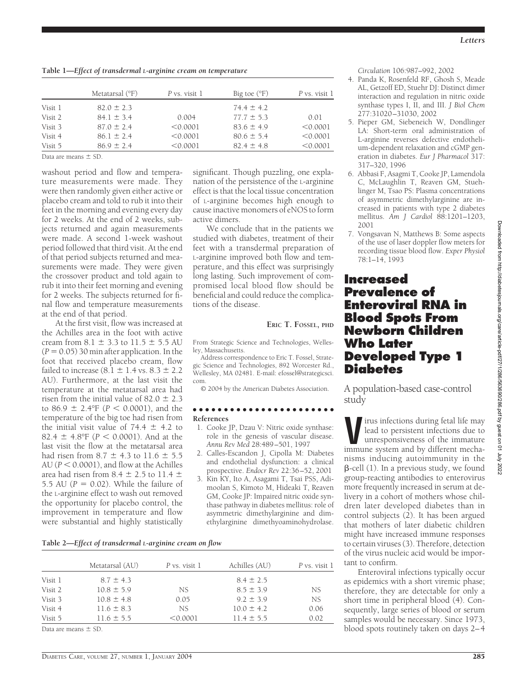|         | Metatarsal (°F) | P vs. visit 1 | Big toe $(°F)$ | P vs. visit 1 |
|---------|-----------------|---------------|----------------|---------------|
| Visit 1 | $82.0 \pm 2.3$  |               | $74.4 \pm 4.2$ |               |
| Visit 2 | $84.1 \pm 3.4$  | 0.004         | $77.7 \pm 5.3$ | 0.01          |
| Visit 3 | $87.0 \pm 2.4$  | < 0.0001      | $83.6 \pm 4.9$ | < 0.0001      |
| Visit 4 | $86.1 \pm 2.4$  | < 0.0001      | $80.6 \pm 5.4$ | < 0.0001      |
| Visit 5 | $86.9 \pm 2.4$  | < 0.0001      | $82.4 \pm 4.8$ | < 0.0001      |

Data are means  $+$  SD.

washout period and flow and temperature measurements were made. They were then randomly given either active or placebo cream and told to rub it into their feet in the morning and evening every day for 2 weeks. At the end of 2 weeks, subjects returned and again measurements were made. A second 1-week washout period followed that third visit. At the end of that period subjects returned and measurements were made. They were given the crossover product and told again to rub it into their feet morning and evening for 2 weeks. The subjects returned for final flow and temperature measurements at the end of that period.

At the first visit, flow was increased at the Achilles area in the foot with active cream from  $8.1 \pm 3.3$  to  $11.5 \pm 5.5$  AU  $(P = 0.05)$  30 min after application. In the foot that received placebo cream, flow failed to increase  $(8.1 \pm 1.4 \text{ vs. } 8.3 \pm 2.2$ AU). Furthermore, at the last visit the temperature at the metatarsal area had risen from the initial value of  $82.0 \pm 2.3$ to  $86.9 \pm 2.4$ °F ( $P < 0.0001$ ), and the temperature of the big toe had risen from the initial visit value of  $74.4 \pm 4.2$  to  $82.4 \pm 4.8$ °F ( $P < 0.0001$ ). And at the last visit the flow at the metatarsal area had risen from 8.7  $\pm$  4.3 to 11.6  $\pm$  5.5  $AU (P < 0.0001)$ , and flow at the Achilles area had risen from  $8.4 \pm 2.5$  to 11.4  $\pm$ 5.5 AU  $(P = 0.02)$ . While the failure of the L-arginine effect to wash out removed the opportunity for placebo control, the improvement in temperature and flow were substantial and highly statistically

significant. Though puzzling, one explanation of the persistence of the L-arginine effect is that the local tissue concentration of L-arginine becomes high enough to cause inactive monomers of eNOS to form active dimers.

We conclude that in the patients we studied with diabetes, treatment of their feet with a transdermal preparation of L-arginine improved both flow and temperature, and this effect was surprisingly long lasting. Such improvement of compromised local blood flow should be beneficial and could reduce the complications of the disease.

### **ERIC T. FOSSEL, PHD**

From Strategic Science and Technologies, Wellesley, Massachusetts.

Address correspondence to Eric T. Fossel, Strategic Science and Technologies, 892 Worcester Rd., Wellesley, MA 02481. E-mail: efossel@strategicsci. com.

© 2004 by the American Diabetes Association.

#### ●●●●●●●●●●●●●●●●●●●●●●● **References**

- 1. Cooke JP, Dzau V: Nitric oxide synthase: role in the genesis of vascular disease. *Annu Rev Med* 28:489–501, 1997
- 2. Calles-Escandon J, Cipolla M: Diabetes and endothelial dysfunction: a clinical prospective. *Endocr Rev* 22:36–52, 2001
- 3. Kin KY, Ito A, Asagami T, Tsai PSS, Adimoolan S, Kimoto M, Hideaki T, Reaven GM, Cooke JP: Impaired nitric oxide synthase pathway in diabetes mellitus: role of asymmetric dimethylarginine and dimethylarginine dimethyoaminohydrolase.

**Table 2—***Effect of transdermal L-arginine cream on flow*

|         | Metatarsal (AU) | P vs. visit 1 | Achilles (AU)  | P vs. visit 1 |
|---------|-----------------|---------------|----------------|---------------|
| Visit 1 | $8.7 \pm 4.3$   |               | $8.4 \pm 2.5$  |               |
| Visit 2 | $10.8 \pm 5.9$  | NS.           | $8.5 \pm 3.9$  | NS.           |
| Visit 3 | $10.8 \pm 4.8$  | 0.05          | $9.2 \pm 3.9$  | NS.           |
| Visit 4 | $11.6 \pm 8.3$  | NS.           | $10.0 \pm 4.2$ | 0.06          |
| Visit 5 | $11.6 \pm 5.5$  | < 0.0001      | $11.4 \pm 5.5$ | 0.02          |

Data are means  $\pm$  SD.

*Circulation* 106:987–992, 2002

- 4. Panda K, Rosenfeld RF, Ghosh S, Meade AL, Getzoff ED, Stuehr DJ: Distinct dimer interaction and regulation in nitric oxide synthase types I, II, and III. *J Biol Chem* 277:31020–31030, 2002
- 5. Pieper GM, Siebeneich W, Dondlinger LA: Short-term oral administration of L-arginine reverses defective endothelium-dependent relaxation and cGMP generation in diabetes. *Eur J Pharmacol* 317: 317–320, 1996
- 6. Abbasi F, Asagmi T, Cooke JP, Lamendola C, McLaughlin T, Reaven GM, Stuehlinger M, Tsao PS: Plasma concentrations of asymmetric dimethylarginine are increased in patients with type 2 diabetes mellitus. *Am J Cardiol* 88:1201–1203, 2001
- 7. Vongsavan N, Matthews B: Some aspects of the use of laser doppler flow meters for recording tissue blood flow. *Exper Physiol* 78:1–14, 1993

## **Increased Prevalence of Enteroviral RNA in Blood Spots From Newborn Children Who Later Developed Type 1 Diabetes**

A population-based case-control study

irus infections during fetal life may lead to persistent infections due to unresponsiveness of the immature immune system and by different mechanisms inducing autoimmunity in the  $\beta$ -cell (1). In a previous study, we found group-reacting antibodies to enterovirus more frequently increased in serum at delivery in a cohort of mothers whose children later developed diabetes than in control subjects (2). It has been argued that mothers of later diabetic children might have increased immune responses to certain viruses (3). Therefore, detection of the virus nucleic acid would be important to confirm.

Enteroviral infections typically occur as epidemics with a short viremic phase; therefore, they are detectable for only a short time in peripheral blood (4). Consequently, large series of blood or serum samples would be necessary. Since 1973, blood spots routinely taken on days 2–4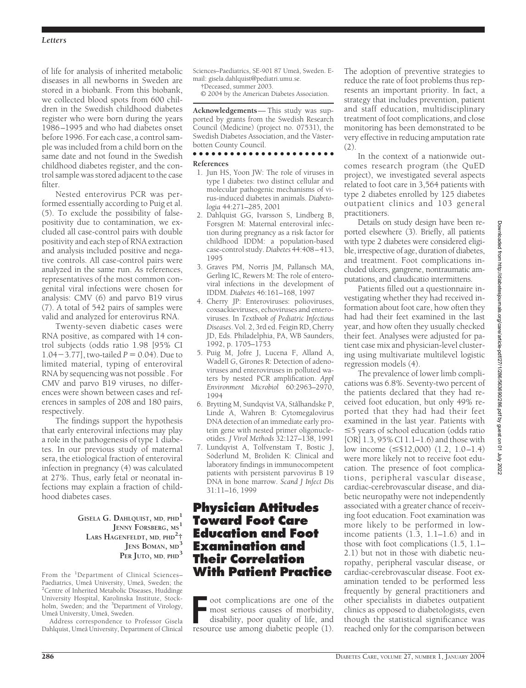of life for analysis of inherited metabolic diseases in all newborns in Sweden are stored in a biobank. From this biobank, we collected blood spots from 600 children in the Swedish childhood diabetes register who were born during the years 1986–1995 and who had diabetes onset before 1996. For each case, a control sample was included from a child born on the same date and not found in the Swedish childhood diabetes register, and the control sample was stored adjacent to the case filter.

Nested enterovirus PCR was performed essentially according to Puig et al. (5). To exclude the possibility of falsepositivity due to contamination, we excluded all case-control pairs with double positivity and each step of RNA extraction and analysis included positive and negative controls. All case-control pairs were analyzed in the same run. As references, representatives of the most common congenital viral infections were chosen for analysis: CMV (6) and parvo B19 virus (7). A total of 542 pairs of samples were valid and analyzed for enterovirus RNA.

Twenty-seven diabetic cases were RNA positive, as compared with 14 control subjects (odds ratio 1.98 [95% CI 1.04 $-3.77$ ], two-tailed *P* = 0.04). Due to limited material, typing of enteroviral RNA by sequencing was not possible . For CMV and parvo B19 viruses, no differences were shown between cases and references in samples of 208 and 180 pairs, respectively.

The findings support the hypothesis that early enteroviral infections may play a role in the pathogenesis of type 1 diabetes. In our previous study of maternal sera, the etiological fraction of enteroviral infection in pregnancy (4) was calculated at 27%. Thus, early fetal or neonatal infections may explain a fraction of childhood diabetes cases.

> **GISELA G. DAHLQUIST, MD, PHD1 JENNY FORSBERG, MS<sup>1</sup> LARS HAGENFELDT, MD, PHD<sup>2</sup> † JENS BOMAN, MD<sup>3</sup> PER JUTO, MD, PHD<sup>3</sup>**

From the <sup>1</sup>Department of Clinical Sciences-Paediatrics, Umeå University, Umeå, Sweden; the <sup>2</sup> <sup>2</sup> Centre of Inherited Metabolic Diseases, Huddinge University Hospital, Karolinska Institute, Stockholm, Sweden; and the <sup>3</sup>Department of Virology, Umeå University, Umeå, Sweden.

Address correspondence to Professor Gisela Dahlquist, Umeå University, Department of Clinical Sciences–Paediatrics, SE-901 87 Umeå, Sweden. Email: gisela.dahlquist@pediatri.umu.se.

†Deceased, summer 2003.

© 2004 by the American Diabetes Association.

**Acknowledgements**— This study was supported by grants from the Swedish Research Council (Medicine) (project no. 07531), the Swedish Diabetes Association, and the Västerbotten County Council.

## ●●●●●●●●●●●●●●●●●●●●●●●

### **References**

- 1. Jun HS, Yoon JW: The role of viruses in type I diabetes: two distinct cellular and molecular pathogenic mechanisms of virus-induced diabetes in animals. *Diabetologia* 44:271–285, 2001
- 2. Dahlquist GG, Ivarsson S, Lindberg B, Forsgren M: Maternal enteroviral infection during pregnancy as a risk factor for childhood IDDM: a population-based case-control study.*Diabetes* 44:408–413, 1995
- 3. Graves PM, Norris JM, Pallansch MA, Gerling IC, Rewers M: The role of enteroviral infections in the development of IDDM. *Diabetes* 46:161–168, 1997
- 4. Cherry JP: Enteroviruses: polioviruses, coxsackieviruses, echoviruses and enteroviruses. In *Textbook of Pediatric Infectious Diseases*. Vol. 2, 3rd ed. Feigin RD, Cherry JD, Eds. Philadelphia, PA, WB Saunders, 1992, p. 1705–1753
- 5. Puig M, Jofre J, Lucena F, Alland A, Wadell G, Girones R: Detection of adenoviruses and enteroviruses in polluted waters by nested PCR amplification. *Appl Environment Microbiol* 60:2963–2970, 1994
- 6. Brytting M, Sundqvist VA, Stålhandske P, Linde A, Wahren B: Cytomegalovirus DNA detection of an immediate early protein gene with nested primer oligonucleotides. *J Virol Methods* 32:127–138, 1991
- 7. Lundqvist A, Tolfvenstam T, Bostic J, Söderlund M, Broliden K: Clinical and laboratory findings in immunocompetent patients with persistent parvovirus B 19 DNA in bone marrow. *Scand J Infect Dis* 31:11–16, 1999

## **Physician Attitudes Toward Foot Care Education and Foot Examination and Their Correlation With Patient Practice**

**FR** oot complications are one of the most serious causes of morbidity, disability, poor quality of life, and resource use among diabetic people (1). oot complications are one of the most serious causes of morbidity, disability, poor quality of life, and

The adoption of preventive strategies to reduce the rate of foot problems thus represents an important priority. In fact, a strategy that includes prevention, patient and staff education, multidisciplinary treatment of foot complications, and close monitoring has been demonstrated to be very effective in reducing amputation rate (2).

In the context of a nationwide outcomes research program (the QuED project), we investigated several aspects related to foot care in 3,564 patients with type 2 diabetes enrolled by 125 diabetes outpatient clinics and 103 general practitioners.

Details on study design have been reported elsewhere (3). Briefly, all patients with type 2 diabetes were considered eligible, irrespective of age, duration of diabetes, and treatment. Foot complications included ulcers, gangrene, nontraumatic amputations, and claudicatio intermittens.

Patients filled out a questionnaire investigating whether they had received information about foot care, how often they had had their feet examined in the last year, and how often they usually checked their feet. Analyses were adjusted for patient case mix and physician-level clustering using multivariate multilevel logistic regression models (4).

The prevalence of lower limb complications was 6.8%. Seventy-two percent of the patients declared that they had received foot education, but only 49% reported that they had had their feet examined in the last year. Patients with -5 years of school education (odds ratio [OR] 1.3, 95% CI 1.1–1.6) and those with low income  $(\leq$ \$12,000) (1.2, 1.0–1.4) were more likely not to receive foot education. The presence of foot complications, peripheral vascular disease, cardiac-cerebrovascular disease, and diabetic neuropathy were not independently associated with a greater chance of receiving foot education. Foot examination was more likely to be performed in lowincome patients (1.3, 1.1–1.6) and in those with foot complications (1.5, 1.1– 2.1) but not in those with diabetic neuropathy, peripheral vascular disease, or cardiac-cerebrovascular disease. Foot examination tended to be performed less frequently by general practitioners and other specialists in diabetes outpatient clinics as opposed to diabetologists, even though the statistical significance was reached only for the comparison between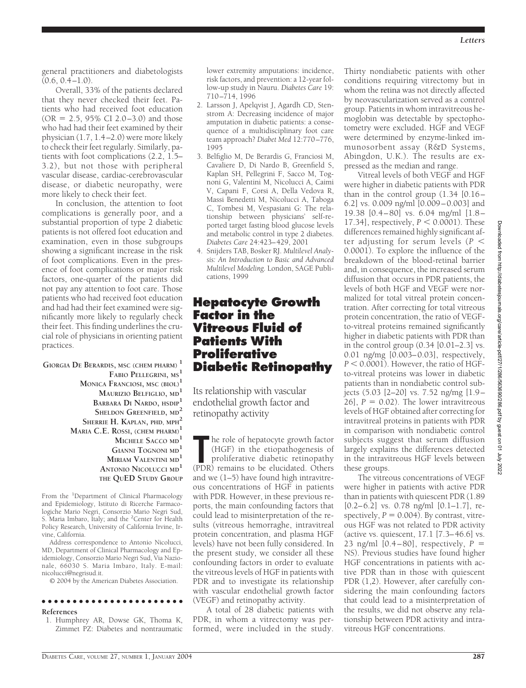general practitioners and diabetologists  $(0.6, 0.4-1.0).$ 

Overall, 33% of the patients declared that they never checked their feet. Patients who had received foot education  $(OR = 2.5, 95\% CI 2.0–3.0)$  and those who had had their feet examined by their physician (1.7, 1.4–2.0) were more likely to check their feet regularly. Similarly, patients with foot complications (2.2, 1.5– 3.2), but not those with peripheral vascular disease, cardiac-cerebrovascular disease, or diabetic neuropathy, were more likely to check their feet.

In conclusion, the attention to foot complications is generally poor, and a substantial proportion of type 2 diabetic patients is not offered foot education and examination, even in those subgroups showing a significant increase in the risk of foot complications. Even in the presence of foot complications or major risk factors, one-quarter of the patients did not pay any attention to foot care. Those patients who had received foot education and had had their feet examined were significantly more likely to regularly check their feet. This finding underlines the crucial role of physicians in orienting patient practices.

**GIORGIA DE BERARDIS, MSC (CHEM PHARM) <sup>1</sup> FABIO PELLEGRINI, MS<sup>1</sup> MONICA FRANCIOSI, MSC (BIOL)<sup>1</sup> MAURIZIO BELFIGLIO, MD<sup>1</sup> BARBARA DI NARDO, HSDIP<sup>1</sup> SHELDON GREENFIELD, MD<sup>2</sup>** SHERRIE H. KAPLAN, PHD, MPH<sup>2</sup> **MARIA C.E. ROSSI, (CHEM PHARM)<sup>1</sup> MICHELE SACCO MD<sup>1</sup> GIANNI TOGNONI MD<sup>1</sup> MIRIAM VALENTINI MD<sup>1</sup> ANTONIO NICOLUCCI MD<sup>1</sup> THE QUED STUDY GROUP**

From the <sup>1</sup>Department of Clinical Pharmacology and Epidemiology, Istituto di Ricerche Farmacologiche Mario Negri, Consorzio Mario Negri Sud, S. Maria Imbaro, Italy; and the <sup>2</sup>Center for Health Policy Research, University of California Irvine, Irvine, California.

Address correspondence to Antonio Nicolucci, MD, Department of Clinical Pharmacology and Epidemiology, Consorzio Mario Negri Sud, Via Nazionale, 66030 S. Maria Imbaro, Italy. E-mail: nicolucci@negrisud.it.

© 2004 by the American Diabetes Association.

## ●●●●●●●●●●●●●●●●●●●●●●●

- **References**
- 1. Humphrey AR, Dowse GK, Thoma K, Zimmet PZ: Diabetes and nontraumatic

lower extremity amputations: incidence, risk factors, and prevention: a 12-year follow-up study in Nauru. *Diabetes Care* 19: 710–714, 1996

- 2. Larsson J, Apelqvist J, Agardh CD, Stenstrom A: Decreasing incidence of major amputation in diabetic patients: a consequence of a multidisciplinary foot care team approach? *Diabet Med* 12:770–776, 1995
- 3. Belfiglio M, De Berardis G, Franciosi M, Cavaliere D, Di Nardo B, Greenfield S, Kaplan SH, Pellegrini F, Sacco M, Tognoni G, Valentini M, Nicolucci A, Caimi V, Capani F, Corsi A, Della Vedova R, Massi Benedetti M, Nicolucci A, Taboga C, Tombesi M, Vespasiani G: The relationship between physicians' self-reported target fasting blood glucose levels and metabolic control in type 2 diabetes. *Diabetes Care* 24:423–429, 2001
- 4. Snijders TAB, Bosker RJ. *Multilevel Analysis: An Introduction to Basic and Advanced Multilevel Modeling.* London, SAGE Publications, 1999

## **Hepatocyte Growth Factor in the Vitreous Fluid of Patients With Proliferative Diabetic Retinopathy**

Its relationship with vascular endothelial growth factor and retinopathy activity

The role of hepatocyte growth factor (HGF) in the etiopathogenesis of proliferative diabetic retinopathy (PDR) remains to be elucidated. Others he role of hepatocyte growth factor (HGF) in the etiopathogenesis of proliferative diabetic retinopathy and we (1–5) have found high intravitreous concentrations of HGF in patients with PDR. However, in these previous reports, the main confounding factors that could lead to misinterpretation of the results (vitreous hemorraghe, intravitreal protein concentration, and plasma HGF levels) have not been fully considered. In the present study, we consider all these confounding factors in order to evaluate the vitreous levels of HGF in patients with PDR and to investigate its relationship with vascular endothelial growth factor (VEGF) and retinopathy activity.

A total of 28 diabetic patients with PDR, in whom a vitrectomy was performed, were included in the study. Thirty nondiabetic patients with other conditions requiring vitrectomy but in whom the retina was not directly affected by neovascularization served as a control group. Patients in whom intravitreous hemoglobin was detectable by spectophotometry were excluded. HGF and VEGF were determined by enzyme-linked immunosorbent assay (R&D Systems, Abingdon, U.K.). The results are expressed as the median and range.

Vitreal levels of both VEGF and HGF were higher in diabetic patients with PDR than in the control group (1.34 [0.16– 6.2] vs. 0.009 ng/ml [0.009–0.003] and 19.38 [0.4 – 80] vs. 6.04 mg/ml [1.8 –  $17.34$ ], respectively,  $P < 0.0001$ ). These differences remained highly significant after adjusting for serum levels ( $P <$ 0.0001). To explore the influence of the breakdown of the blood-retinal barrier and, in consequence, the increased serum diffusion that occurs in PDR patients, the levels of both HGF and VEGF were normalized for total vitreal protein concentration. After correcting for total vitreous protein concentration, the ratio of VEGFto-vitreal proteins remained significantly higher in diabetic patients with PDR than in the control group (0.34 [0.01–2.3] vs. 0.01 ng/mg [0.003–0.03], respectively,  $P < 0.0001$ ). However, the ratio of HGFto-vitreal proteins was lower in diabetic patients than in nondiabetic control subjects (5.03 [2–20] vs. 7.52 ng/mg [1.9–  $[26]$ ,  $P = 0.02$ ). The lower intravitreous levels of HGF obtained after correcting for intravitreal proteins in patients with PDR in comparison with nondiabetic control subjects suggest that serum diffusion largely explains the differences detected in the intravitreous HGF levels between these groups.

The vitreous concentrations of VEGF were higher in patients with active PDR than in patients with quiescent PDR (1.89 [0.2–6.2] vs. 0.78 ng/ml [0.1–1.7], respectively,  $P = 0.004$ ). By contrast, vitreous HGF was not related to PDR activity (active vs. quiescent, 17.1 [7.3–46.6] vs. 23 ng/ml  $[0.4-80]$ , respectively,  $P =$ NS). Previous studies have found higher HGF concentrations in patients with active PDR than in those with quiescent PDR (1,2). However, after carefully considering the main confounding factors that could lead to a misinterpretation of the results, we did not observe any relationship between PDR activity and intravitreous HGF concentrations.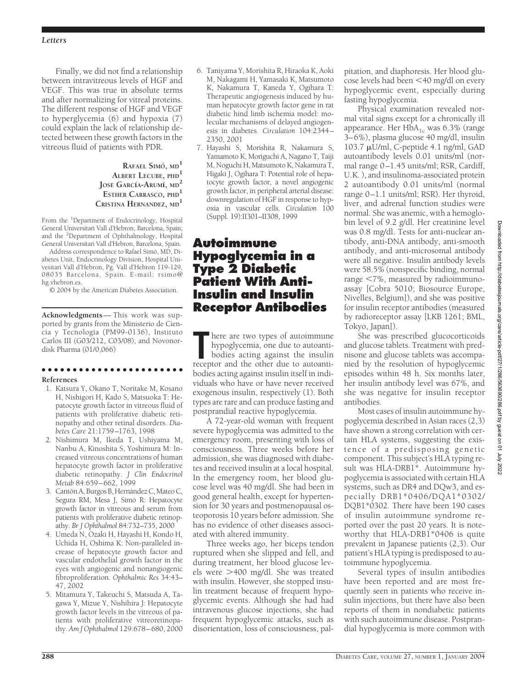Finally, we did not find a relationship between intravitreous levels of HGF and VEGF. This was true in absolute terms and after normalizing for vitreal proteins. The different response of HGF and VEGF to hyperglycemia (6) and hypoxia (7) could explain the lack of relationship detected between these growth factors in the vitreous fluid of patients with PDR.

### **RAFAEL SIMO´, MD<sup>1</sup> ALBERT LECUBE, PHD<sup>1</sup> JOSE´ GARCı´A-ARUMı´, MD<sup>2</sup> ESTHER CARRASCO, PHD<sup>1</sup>**  $C$ **RISTINA HERNANDEZ**, MD<sup>1</sup>

From the <sup>1</sup>Department of Endocrinology, Hospital General Universitari Vall d'Hebron, Barcelona, Spain; and the <sup>2</sup> Department of Ophthalmology, Hospital General Universitari Vall d'Hebron, Barcelona, Spain.

Address correspondence to Rafael Simó, MD, Diabetes Unit, Endocrinology Division, Hospital Univesitari Vall d'Hebron, Pg. Vall d'Hebron 119-129, 08035 Barcelona, Spain. E-mail: rsimo@ hg.vhebron.es.

© 2004 by the American Diabetes Association.

**Acknowledgments**— This work was supported by grants from the Ministerio de Ciencia y Tecnología (PM99-0136), Instituto Carlos III (G03/212, C03/08), and Novonordisk Pharma (01/0,066)

### ●●●●●●●●●●●●●●●●●●●●●●●

### **References**

- 1. Katsura Y, Okano T, Noritake M, Kosano H, Nishigori H, Kado S, Matsuoka T: Hepatocyte growth factor in vitreous fluid of patients with proliferative diabetic retinopathy and other retinal disorders. *Diabetes Care* 21:1759–1763, 1998
- 2. Nishimura M, Ikeda T, Ushiyama M, Nanbu A, Kinoshita S, Yoshimura M: Increased vitreous concentrations of human hepatocyte growth factor in proliferative diabetic retinopathy. *J Clin Endocrinol Metab* 84:659–662, 1999
- 3. Cantón A, Burgos B, Hernández C, Mateo C, Segura RM, Mesa J, Simó R: Hepatocyte growth factor in vitreous and serum from patients with proliferative diabetic retinopathy. *Br J Ophthalmol* 84:732–735, 2000
- 4. Umeda N, Ozaki H, Hayashi H, Kondo H, Uchida H, Oshima K: Non-paralleled increase of hepatocyte growth factor and vascular endothelial growth factor in the eyes with angiogenic and nonangiogenic fibroproliferation. *Ophthalmic Res* 34:43– 47, 2002
- 5. Mitamura Y, Takeuchi S, Matsuda A, Tagawa Y, Mizue Y, Nishihira J: Hepatocyte growth factor levels in the vitreous of patients with proliferative vitreoretinopathy. *Am J Ophthalmol* 129:678–680, 2000
- 6. Taniyama Y, Morishita R, Hiraoka K, Aoki M, Nakagami H, Yamasaki K, Matsumoto K, Nakamura T, Kaneda Y, Ogihara T: Therapeutic angiogenesis induced by human hepatocyte growth factor gene in rat diabetic hind limb ischemia model: molecular mechanisms of delayed angiogenesis in diabetes. *Circulation* 104:2344– 2350, 2001
- 7. Hayashi S, Morishita R, Nakamura S, Yamamoto K, Moriguchi A, Nagano T, Taiji M, Noguchi H, Matsumoto K, Nakamura T, Higaki J, Ogihara T: Potential role of hepatocyte growth factor, a novel angiogenic growth factor, in peripheral arterial disease: downregulation of HGF in response to hypoxia in vascular cells. *Circulation* 100 (Suppl. 19):II301–II308, 1999

## **Autoimmune Hypoglycemia in a Type 2 Diabetic Patient With Anti-Insulin and Insulin Receptor Antibodies**

**The area two types of autoimmune hypoglycemia, one due to autoanti-bodies acting against the insulin receptor and the other due to autoanti**here are two types of autoimmune hypoglycemia, one due to autoantibodies acting against the insulin bodies acting against insulin itself in individuals who have or have never received exogenous insulin, respectively (1). Both types are rare and can produce fasting and postprandial reactive hypoglycemia.

A 72-year-old woman with frequent severe hypoglycemia was admitted to the emergency room, presenting with loss of consciousness. Three weeks before her admission, she was diagnosed with diabetes and received insulin at a local hospital. In the emergency room, her blood glucose level was 40 mg/dl. She had been in good general health, except for hypertension for 30 years and postmenopausal osteoporosis 10 years before admission. She has no evidence of other diseases associated with altered immunity.

Three weeks ago, her biceps tendon ruptured when she slipped and fell, and during treatment, her blood glucose levels were >400 mg/dl. She was treated with insulin. However, she stopped insulin treatment because of frequent hypoglycemic events. Although she had had intravenous glucose injections, she had frequent hypoglycemic attacks, such as disorientation, loss of consciousness, palpitation, and diaphoresis. Her blood glucose levels had been -40 mg/dl on every hypoglycemic event, especially during fasting hypoglycemia.

Physical examination revealed normal vital signs except for a chronically ill appearance. Her  $H\overline{b}A_{1c}$  was 6.3% (range 3–6%), plasma glucose 40 mg/dl, insulin 103.7 U/ml, C-peptide 4.1 ng/ml, GAD autoantibody levels 0.01 units/ml (normal range 0–1.45 units/ml; RSR, Cardiff, U.K. ), and insulinoma-associated protein 2 autoantibody 0.01 units/ml (normal range 0–1.1 units/ml; RSR). Her thyroid, liver, and adrenal function studies were normal. She was anemic, with a hemoglobin level of 9.2 g/dl. Her creatinine level was 0.8 mg/dl. Tests for anti-nuclear antibody, anti-DNA antibody, anti-smooth antibody, and anti-microsomal antibody were all negative. Insulin antibody levels were 58.5% (nonspecific binding, normal range -7%, measured by radioimmunoassay [Cobra 5010; Biosource Europe, Nivelles, Belgium]), and she was positive for insulin receptor antibodies (measured by radioreceptor assay [LKB 1261; BML, Tokyo, Japan]).

She was prescribed glucocorticoids and glucose tablets. Treatment with prednisone and glucose tablets was accompanied by the resolution of hypoglycemic episodes within 48 h. Six months later, her insulin antibody level was 67%, and she was negative for insulin receptor antibodies.

Most cases of insulin autoimmune hypoglycemia described in Asian races (2,3) have shown a strong correlation with certain HLA systems, suggesting the existence of a predisposing genetic component. This subject's HLA typing result was HLA-DRB1\*. Autoimmune hypoglycemia is associated with certain HLA systems, such as DR4 and DQw3, and especially DRB1\*0406/DQA1\*0302/ DQB1\*0302. There have been 190 cases of insulin autoimmune syndrome reported over the past 20 years. It is noteworthy that HLA-DRB1\*0406 is quite prevalent in Japanese patients (2,3). Our patient's HLA typing is predisposed to autoimmune hypoglycemia.

Several types of insulin antibodies have been reported and are most frequently seen in patients who receive insulin injections, but there have also been reports of them in nondiabetic patients with such autoimmune disease. Postprandial hypoglycemia is more common with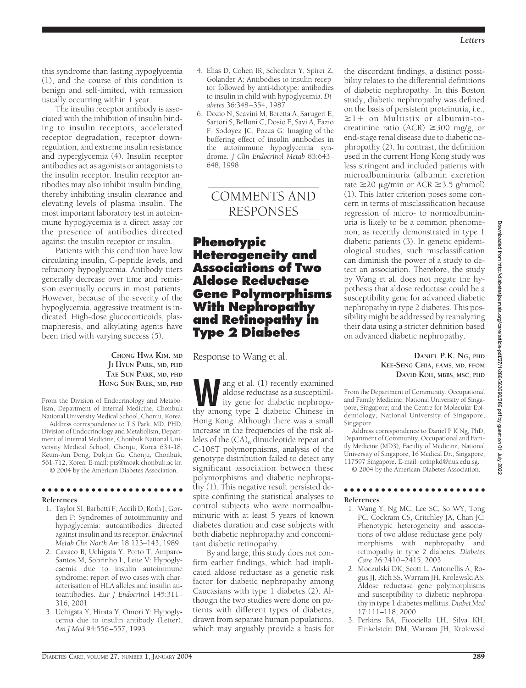this syndrome than fasting hypoglycemia (1), and the course of this condition is benign and self-limited, with remission usually occurring within 1 year.

The insulin receptor antibody is associated with the inhibition of insulin binding to insulin receptors, accelerated receptor degradation, receptor downregulation, and extreme insulin resistance and hyperglycemia (4). Insulin receptor antibodies act as agonists or antagonists to the insulin receptor. Insulin receptor antibodies may also inhibit insulin binding, thereby inhibiting insulin clearance and elevating levels of plasma insulin. The most important laboratory test in autoimmune hypoglycemia is a direct assay for the presence of antibodies directed against the insulin receptor or insulin.

Patients with this condition have low circulating insulin, C-peptide levels, and refractory hypoglycemia. Antibody titers generally decrease over time and remission eventually occurs in most patients. However, because of the severity of the hypoglycemia, aggressive treatment is indicated. High-dose glucocorticoids, plasmapheresis, and alkylating agents have been tried with varying success (5).

> **CHONG HWA KIM, MD JI HYUN PARK, MD, PHD TAE SUN PARK, MD, PHD HONG SUN BAEK, MD, PHD**

From the Division of Endocrinology and Metabolism, Department of Internal Medicine, Chonbuk National University Medical School, Chonju, Korea.

Address correspondence to T.S Park, MD, PHD, Division of Endocrinology and Metabolism, Department of Internal Medicine, Chonbuk National University Medical School, Chonju, Korea 634-18, Keum-Am Dong, Dukjin Gu, Chonju, Chonbuk, 561-712, Korea. E-mail: pts@moak.chonbuk.ac.kr.

© 2004 by the American Diabetes Association.

### ●●●●●●●●●●●●●●●●●●●●●●● **References**

- 1. Taylor SI, Barbetti F, Accili D, Roth J, Gorden P: Syndromes of autoimmunity and hypoglycemia: autoantibodies directed against insulin and its receptor. *Endocrinol Metab Clin North Am* 18:123–143, 1989
- 2. Cavaco B, Uchigata Y, Porto T, Amparo-Santos M, Sobrinho L, Leite V: Hypoglycaemia due to insulin autoimmune syndrome: report of two cases with characterisation of HLA alleles and insulin autoantibodies. *Eur J Endocrinol* 145:311– 316, 2001
- 3. Uchigata Y, Hirata Y, Omori Y: Hypoglycemia due to insulin antibody (Letter). *Am J Med* 94:556–557, 1993
- 4. Elias D, Cohen IR, Schechter Y, Spirer Z, Golander A: Antibodies to insulin receptor followed by anti-idiotype: antibodies to insulin in child with hypoglycemia. *Diabetes* 36:348–354, 1987
- 6. Dozio N, Scavini M, Beretta A, Sarugeri E, Sartori S, Belloni C, Dosio F, Savi A, Fazio F, Sodoyez JC, Pozza G: Imaging of the buffering effect of insulin antibodies in the autoimmune hypoglycemia syndrome. *J Clin Endocrinol Metab* 83:643– 648, 1998

# COMMENTS AND RESPONSES

## **Phenotypic Heterogeneity and Associations of Two Aldose Reductase Gene Polymorphisms With Nephropathy and Retinopathy in Type 2 Diabetes**

Response to Wang et al.

ang et al. (1) recently examined aldose reductase as a susceptibility gene for diabetic nephropathy among type 2 diabetic Chinese in Hong Kong. Although there was a small increase in the frequencies of the risk alleles of the  $(CA)$ <sub>n</sub> dinucleotide repeat and C-106T polymorphisms, analysis of the genotype distribution failed to detect any significant association between these polymorphisms and diabetic nephropathy (1). This negative result persisted despite confining the statistical analyses to control subjects who were normoalbuminuric with at least 5 years of known diabetes duration and case subjects with both diabetic nephropathy and concomitant diabetic retinopathy.

By and large, this study does not confirm earlier findings, which had implicated aldose reductase as a genetic risk factor for diabetic nephropathy among Caucasians with type 1 diabetes (2). Although the two studies were done on patients with different types of diabetes, drawn from separate human populations, which may arguably provide a basis for

the discordant findings, a distinct possibility relates to the differential definitions of diabetic nephropathy. In this Boston study, diabetic nephropathy was defined on the basis of persistent proteinuria, i.e.,  $\geq$ 1+ on Multistix or albumin-tocreatinine ratio (ACR)  $\geq$ 300 mg/g, or end-stage renal disease due to diabetic nephropathy (2). In contrast, the definition used in the current Hong Kong study was less stringent and included patients with microalbuminuria (albumin excretion rate  $\geq$ 20  $\mu$ g/min or ACR  $\geq$ 3.5 g/mmol) (1). This latter criterion poses some concern in terms of misclassification because regression of micro- to normoalbuminuria is likely to be a common phenomenon, as recently demonstrated in type 1 diabetic patients (3). In genetic epidemiological studies, such misclassification can diminish the power of a study to detect an association. Therefore, the study by Wang et al. does not negate the hypothesis that aldose reductase could be a susceptibility gene for advanced diabetic nephropathy in type 2 diabetes. This possibility might be addressed by reanalyzing their data using a stricter definition based on advanced diabetic nephropathy.

> **DANIEL P.K. NG, PHD KEE-SENG CHIA, FAMS, MD, FFOM DAVID KOH, MBBS, MSC, PHD**

From the Department of Community, Occupational and Family Medicine, National University of Singapore, Singapore; and the Centre for Molecular Epidemiology, National University of Singapore, Singapore.

Address correspondence to Daniel P K Ng, PhD, Department of Community, Occupational and Family Medicine (MD3), Faculty of Medicine, National University of Singapore, 16 Medical Dr., Singapore, 117597 Singapore. E-mail: cofnpkd@nus.edu.sg.

© 2004 by the American Diabetes Association.

### ●●●●●●●●●●●●●●●●●●●●●●● **References**

- 1. Wang Y, Ng MC, Lee SC, So WY, Tong PC, Cockram CS, Critchley JA, Chan JC: Phenotypic heterogeneity and associations of two aldose reductase gene polymorphisms with nephropathy and retinopathy in type 2 diabetes. *Diabetes Care* 26:2410–2415, 2003
- 2. Moczulski DK, Scott L, Antonellis A, Rogus JJ, Rich SS, Warram JH, Krolewski AS: Aldose reductase gene polymorphisms and susceptibility to diabetic nephropathy in type 1 diabetes mellitus. *Diabet Med* 17:111–118, 2000
- 3. Perkins BA, Ficociello LH, Silva KH, Finkelstein DM, Warram JH, Krolewski